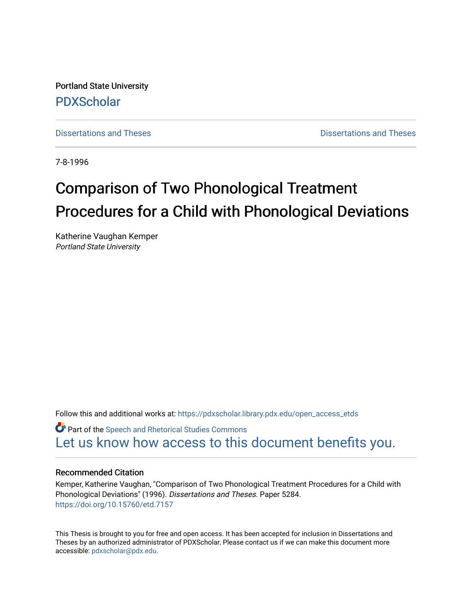Portland State University [PDXScholar](https://pdxscholar.library.pdx.edu/)

[Dissertations and Theses](https://pdxscholar.library.pdx.edu/open_access_etds) **Dissertations** and Theses **Dissertations and Theses** 

7-8-1996

# Comparison of Two Phonological Treatment Procedures for a Child with Phonological Deviations

Katherine Vaughan Kemper Portland State University

Follow this and additional works at: [https://pdxscholar.library.pdx.edu/open\\_access\\_etds](https://pdxscholar.library.pdx.edu/open_access_etds?utm_source=pdxscholar.library.pdx.edu%2Fopen_access_etds%2F5284&utm_medium=PDF&utm_campaign=PDFCoverPages)

**Part of the Speech and Rhetorical Studies Commons** [Let us know how access to this document benefits you.](http://library.pdx.edu/services/pdxscholar-services/pdxscholar-feedback/) 

#### Recommended Citation

Kemper, Katherine Vaughan, "Comparison of Two Phonological Treatment Procedures for a Child with Phonological Deviations" (1996). Dissertations and Theses. Paper 5284. <https://doi.org/10.15760/etd.7157>

This Thesis is brought to you for free and open access. It has been accepted for inclusion in Dissertations and Theses by an authorized administrator of PDXScholar. Please contact us if we can make this document more accessible: [pdxscholar@pdx.edu.](mailto:pdxscholar@pdx.edu)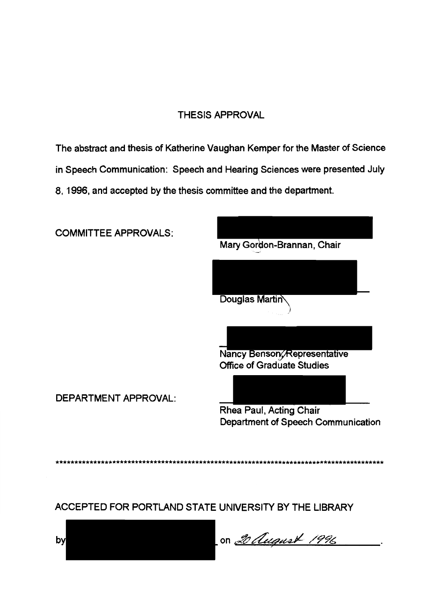### THESIS APPROVAL

The abstract and thesis of Katherine Vaughan Kemper for the Master of Science in Speech Communication: Speech and Hearing Sciences were presented July 8, 1996, and accepted by the thesis committee and the department.

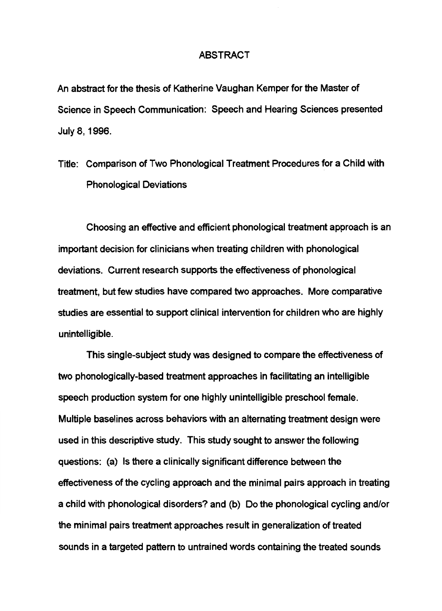#### ABSTRACT

An abstract for the thesis of Katherine Vaughan Kemper for the Master of Science in Speech Communication: Speech and Hearing Sciences presented July 8, 1996.

Title: Comparison of Two Phonological Treatment Procedures for a Child with Phonological Deviations

Choosing an effective and efficient phonological treatment approach is an important decision for clinicians when treating children with phonological deviations. Current research supports the effectiveness of phonological treatment, but few studies have compared two approaches. More comparative studies are essential to support clinical intervention for children who are highly unintelligible.

This single-subject study was designed to compare the effectiveness of two phonologically-based treatment approaches in facilitating an intelligible speech production system for one highly unintelligible preschool female. Multiple baselines across behaviors with an alternating treatment design were used in this descriptive study. This study sought to answer the following questions: (a) Is there a clinically significant difference between the effectiveness of the cycling approach and the minimal pairs approach in treating a child with phonological disorders? and (b) Do the phonological cycling and/or the minimal pairs treatment approaches result in generalization of treated sounds in a targeted pattern to untrained words containing the treated sounds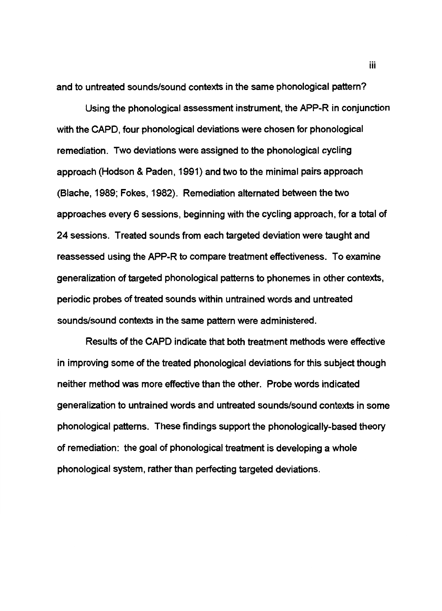and to untreated sounds/sound contexts in the same phonological pattern?

Using the phonological assessment instrument, the APP-R in conjunction with the CAPD, four phonological deviations were chosen for phonological remediation. Two deviations were assigned to the phonological cycling approach (Hodson & Paden, 1991) and two to the minimal pairs approach (Blache, 1989; Fokes, 1982). Remediation alternated between the two approaches every 6 sessions, beginning with the cycling approach, for a total of 24 sessions. Treated sounds from each targeted deviation were taught and reassessed using the APP-R to compare treatment effectiveness. To examine generalization of targeted phonological patterns to phonemes in other contexts, periodic probes of treated sounds within untrained words and untreated sounds/sound contexts in the same pattern were administered.

Results of the CAPD indicate that both treatment methods were effective in improving some of the treated phonological deviations for this subject though neither method was more effective than the other. Probe words indicated generalization to untrained words and untreated sounds/sound contexts in some phonological patterns. These findings support the phonologically-based theory of remediation: the goal of phonological treatment is developing a whole phonological system, rather than perfecting targeted deviations.

iii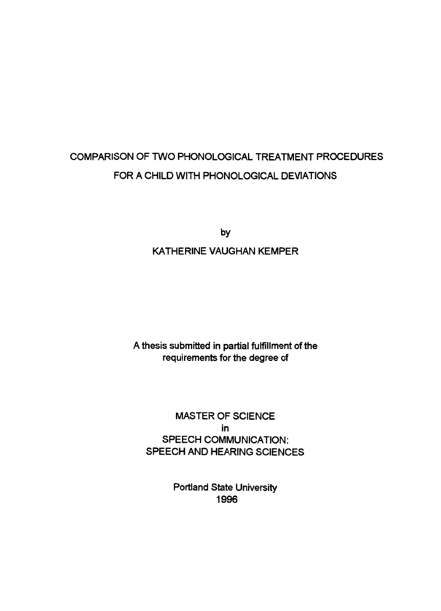# COMPARISON OF TWO PHONOLOGICAL TREATMENT PROCEDURES FOR A CHILD WITH PHONOLOGICAL DEVIATIONS

by

### KATHERINE VAUGHAN KEMPER

A thesis submitted in partial fulfillment of the requirements for the degree of

MASTER OF SCIENCE in SPEECH COMMUNICATION: SPEECH AND HEARING SCIENCES

> Portland State University 1996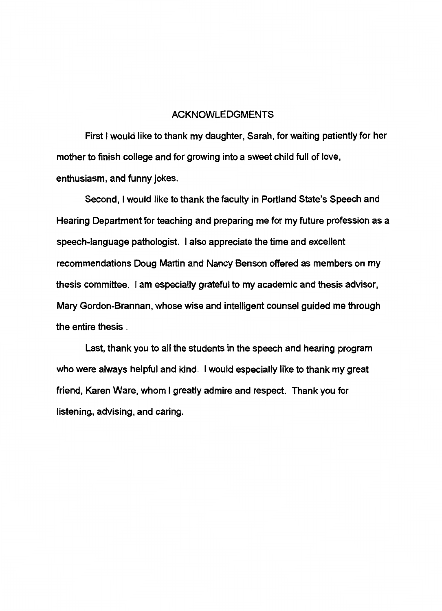#### ACKNOWLEDGMENTS

First I would like to thank my daughter, Sarah, for waiting patiently for her mother to finish college and for growing into a sweet child full of love, enthusiasm, and funny jokes.

Second, I would like to thank the faculty in Portland State's Speech and Hearing Department for teaching and preparing me for my future profession as a speech-language pathologist. I also appreciate the time and excellent recommendations Doug Martin and Nancy Benson offered as members on my thesis committee. I am especially grateful to my academic and thesis advisor, Mary Gordon-Brannan, whose wise and intelligent counsel guided me through the entire thesis .

Last, thank you to all the students in the speech and hearing program who were always helpful and kind. I would especially like to thank my great friend, Karen Ware, whom I greatly admire and respect. Thank you for listening, advising, and caring.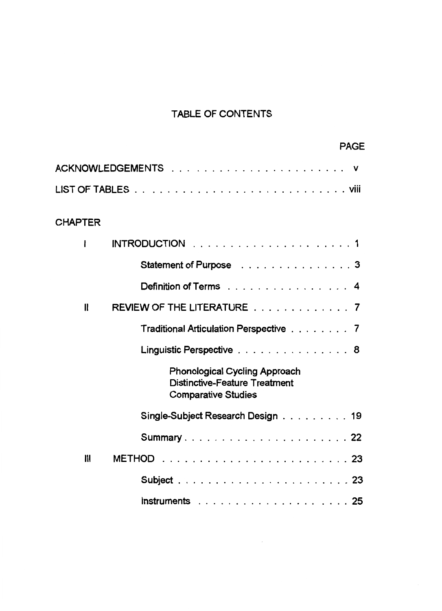# TABLE OF CONTENTS

|                |                                                                                                            | PAGE |
|----------------|------------------------------------------------------------------------------------------------------------|------|
|                |                                                                                                            |      |
|                |                                                                                                            |      |
| <b>CHAPTER</b> |                                                                                                            |      |
| ł              |                                                                                                            |      |
|                | Statement of Purpose 3                                                                                     |      |
|                | Definition of Terms 4                                                                                      |      |
| $\mathbf{I}$   | REVIEW OF THE LITERATURE 7                                                                                 |      |
|                | Traditional Articulation Perspective 7                                                                     |      |
|                | Linguistic Perspective 8                                                                                   |      |
|                | <b>Phonological Cycling Approach</b><br><b>Distinctive-Feature Treatment</b><br><b>Comparative Studies</b> |      |
|                | Single-Subject Research Design 19                                                                          |      |
|                | Summary22                                                                                                  |      |
| $\mathbf{m}$   |                                                                                                            |      |
|                |                                                                                                            |      |
|                | Instruments $\ldots \ldots \ldots \ldots \ldots \ldots \ldots 25$                                          |      |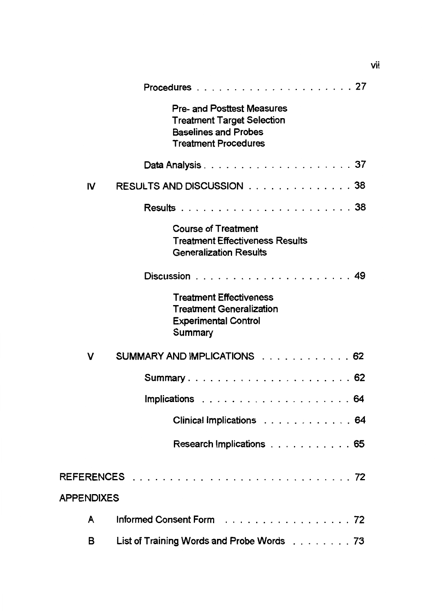|                   | <b>Pre- and Posttest Measures</b><br><b>Treatment Target Selection</b><br><b>Baselines and Probes</b><br><b>Treatment Procedures</b> |
|-------------------|--------------------------------------------------------------------------------------------------------------------------------------|
|                   |                                                                                                                                      |
| IV                | <b>RESULTS AND DISCUSSION</b> 38                                                                                                     |
|                   |                                                                                                                                      |
|                   | <b>Course of Treatment</b><br><b>Treatment Effectiveness Results</b><br><b>Generalization Results</b>                                |
|                   |                                                                                                                                      |
|                   | <b>Treatment Effectiveness</b><br><b>Treatment Generalization</b><br><b>Experimental Control</b><br>Summary                          |
| v                 | SUMMARY AND IMPLICATIONS 62                                                                                                          |
|                   | Summary 62                                                                                                                           |
|                   |                                                                                                                                      |
|                   | Clinical Implications 64                                                                                                             |
|                   | Research Implications 65                                                                                                             |
|                   |                                                                                                                                      |
| <b>APPENDIXES</b> |                                                                                                                                      |
| A                 | Informed Consent Form 72                                                                                                             |
| в                 | List of Training Words and Probe Words 73                                                                                            |

vii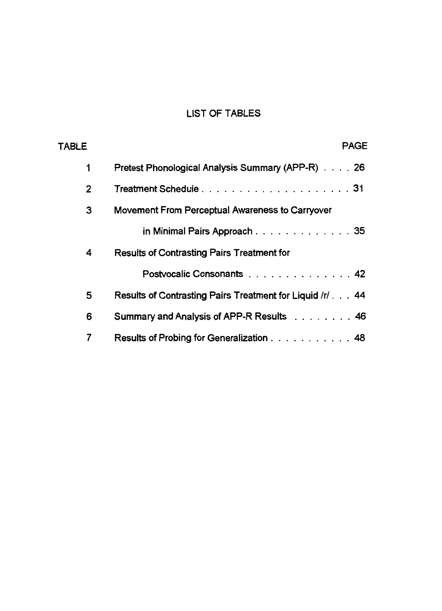# LIST OF TABLES

| <b>TABLE</b>   | <b>PAGE</b>                                              |  |
|----------------|----------------------------------------------------------|--|
| 1              | Pretest Phonological Analysis Summary (APP-R) 26         |  |
| $\overline{2}$ | Treatment Schedule31                                     |  |
| 3              | Movement From Perceptual Awareness to Carryover          |  |
|                | in Minimal Pairs Approach 35                             |  |
| 4              | <b>Results of Contrasting Pairs Treatment for</b>        |  |
|                | Postvocalic Consonants 42                                |  |
| 5              | Results of Contrasting Pairs Treatment for Liquid /r/ 44 |  |
| 6              | Summary and Analysis of APP-R Results 46                 |  |
| 7              | Results of Probing for Generalization 48                 |  |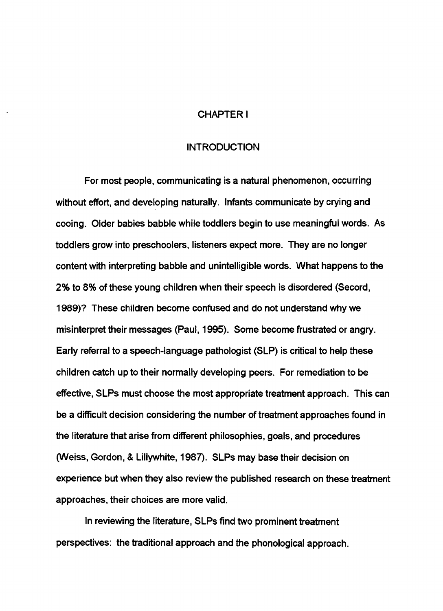#### CHAPTER I

#### INTRODUCTION

For most people, communicating is a natural phenomenon, occurring without effort, and developing naturally. Infants communicate by crying and cooing. Older babies babble while toddlers begin to use meaningful words. As toddlers grow into preschoolers, listeners expect more. They are no longer content with interpreting babble and unintelligible words. What happens to the 2% to 8% of these young children when their speech is disordered (Secord, 1989)? These children become confused and do not understand why we misinterpret their messages (Paul, 1995). Some become frustrated or angry. Early referral to a speech-language pathologist (SLP) is critical to help these children catch up to their normally developing peers. For remediation to be effective, SLPs must choose the most appropriate treatment approach. This can be a difficult decision considering the number of treatment approaches found in the literature that arise from different philosophies, goals, and procedures (Weiss, Gordon, & Lillywhite, 1987). SLPs may base their decision on experience but when they also review the published research on these treatment approaches, their choices are more valid.

In reviewing the literature, SLPs find two prominent treatment perspectives: the traditional approach and the phonological approach.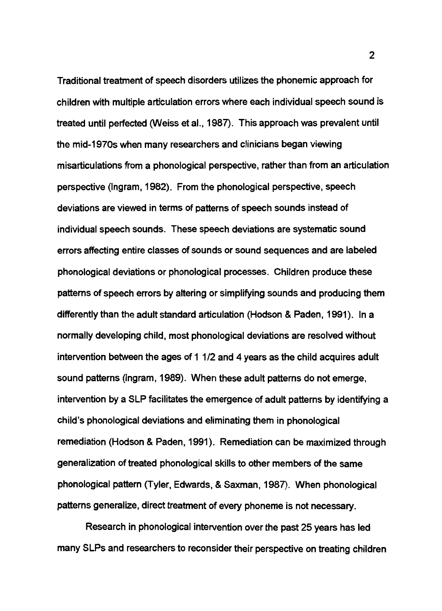Traditional treatment of speech disorders utilizes the phonemic approach for children with multiple articulation errors where each individual speech sound is treated until perfected (Weiss et al., 1987). This approach was prevalent until the mid-1970s when many researchers and clinicians began viewing misarticulations from a phonological perspective, rather than from an articulation perspective (Ingram, 1982). From the phonological perspective, speech deviations are viewed in terms of patterns of speech sounds instead of individual speech sounds. These speech deviations are systematic sound errors affecting entire classes of sounds or sound sequences and are labeled phonological deviations or phonological processes. Children produce these patterns of speech errors by altering or simplifying sounds and producing them differently than the adult standard articulation (Hodson & Paden, 1991). In a normally developing child, most phonological deviations are resolved without intervention between the ages of 1 1/2 and 4 years as the child acquires adult sound patterns (Ingram, 1989). When these adult patterns do not emerge, intervention by a SLP facilitates the emergence of adult patterns by identifying a child's phonological deviations and eliminating them in phonological remediation (Hodson & Paden, 1991). Remediation can be maximized through generalization of treated phonological skills to other members of the same phonological pattern (Tyler, Edwards, & Saxman, 1987). When phonological patterns generalize, direct treatment of every phoneme is not necessary.

Research in phonological intervention over the past 25 years has led many SLPs and researchers to reconsider their perspective on treating children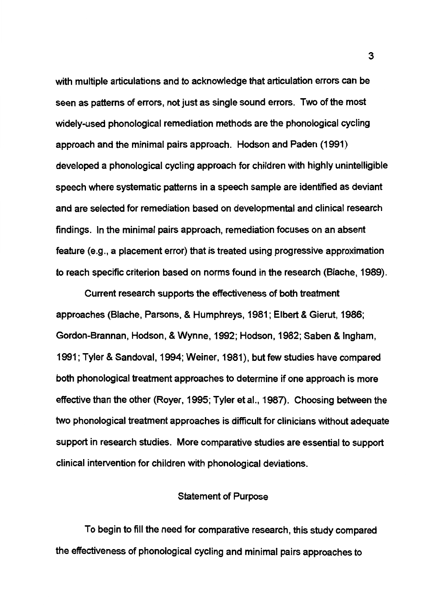with multiple articulations and to acknowledge that articulation errors can be seen as patterns of errors, not just as single sound errors. Two of the most widely-used phonological remediation methods are the phonological cycling approach and the minimal pairs approach. Hodson and Paden (1991) developed a phonological cycling approach for children with highly unintelligible speech where systematic patterns in a speech sample are identified as deviant and are selected for remediation based on developmental and clinical research findings. In the minimal pairs approach, remediation focuses on an absent feature (e.g., a placement error) that is treated using progressive approximation to reach specific criterion based on norms found in the research (Blache, 1989).

Current research supports the effectiveness of both treatment approaches (Blache, Parsons, & Humphreys, 1981; Elbert & Gierut, 1986; Gordon-Brannan, Hodson, & Wynne, 1992; Hodson, 1982; Saben & Ingham, 1991; Tyler & Sandoval, 1994; Weiner, 1981), but few studies have compared both phonological treatment approaches to determine if one approach is more effective than the other (Royer, 1995; Tyler et al., 1987). Choosing between the two phonological treatment approaches is difficult for clinicians without adequate support in research studies. More comparative studies are essential to support clinical intervention for children with phonological deviations.

#### Statement of Purpose

To begin to fill the need for comparative research, this study compared the effectiveness of phonological cycling and minimal pairs approaches to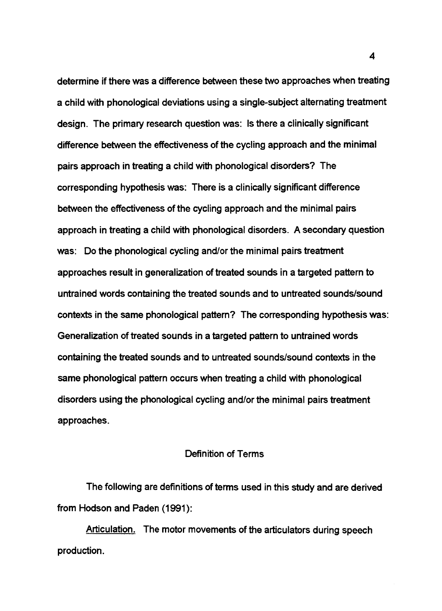determine if there was a difference between these two approaches when treating a child with phonological deviations using a single-subject alternating treatment design. The primary research question was: Is there a clinically significant difference between the effectiveness of the cycling approach and the minimal pairs approach in treating a child with phonological disorders? The corresponding hypothesis was: There is a clinically significant difference between the effectiveness of the cycling approach and the minimal pairs approach in treating a child with phonological disorders. A secondary question was: Do the phonological cycling and/or the minimal pairs treatment approaches result in generalization of treated sounds in a targeted pattern to untrained words containing the treated sounds and to untreated sounds/sound contexts in the same phonological pattern? The corresponding hypothesis was: Generalization of treated sounds in a targeted pattern to untrained words containing the treated sounds and to untreated sounds/sound contexts in the same phonological pattern occurs when treating a child with phonological disorders using the phonological cycling and/or the minimal pairs treatment approaches.

#### Definition of Terms

The following are definitions of terms used in this study and are derived from Hodson and Paden (1991):

Articulation. The motor movements of the articulators during speech production.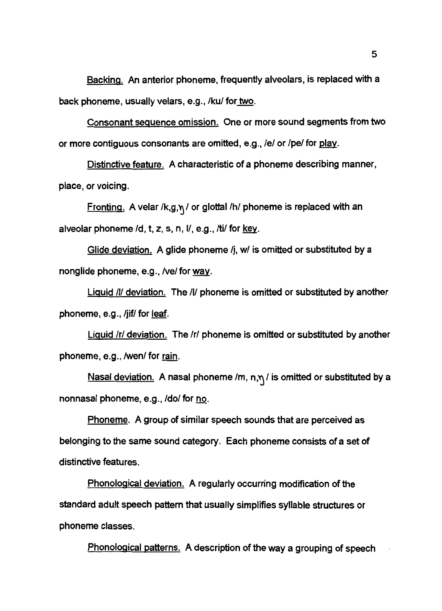Backing. An anterior phoneme, frequently alveolars, is replaced with a back phoneme, usually velars, e.g., /ku/ for <u>two</u>.

Consonant sequence omission. One or more sound segments from two or more contiguous consonants are omitted, e.g., /e/ or /pe/ for play.

Distinctive feature. A characteristic of a phoneme describing manner, place, or voicing.

Fronting. A velar /k,g, $\eta$  / or glottal /h/ phoneme is replaced with an alveolar phoneme /d, t, z, s, n, l/, e.g., /ti/ for <u>key</u>.

Glide deviation. A glide phoneme /j, w/ is omitted or substituted by a nonglide phoneme, e.g., /ve/ for way.

**Liquid /I/ deviation.** The /I/ phoneme is omitted or substituted by another phoneme, e.g., /jif/ for  $leaf$ .</u>

Liquid /r/ deviation. The /r/ phoneme is omitted or substituted by another phoneme, e.g., /wen/ for <u>rain</u>.

<u>Nasal deviation.</u> A nasal phoneme /m, n,  $\eta$  / is omitted or substituted by a nonnasal phoneme, e.g., /do/ for no.

Phoneme. A group of similar speech sounds that are perceived as belonging to the same sound category. Each phoneme consists of a set of distinctive features.

Phonological deviation. A regularly occurring modification of the standard adult speech pattern that usually simplifies syllable structures or phoneme classes.

Phonological patterns. A description of the way a grouping of speech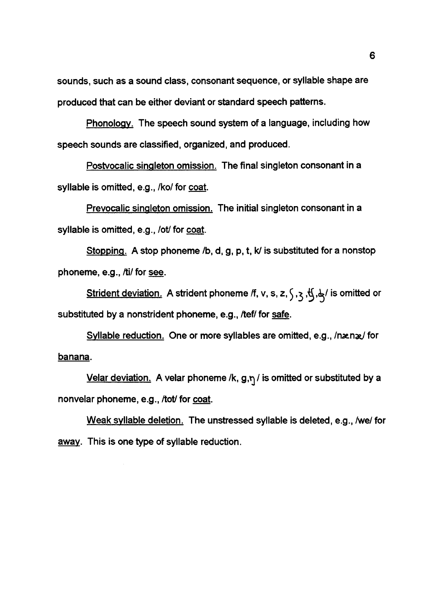sounds, such as a sound class, consonant sequence, or syllable shape are produced that can be either deviant or standard speech patterns.

Phonology. The speech sound system of a language, including how speech sounds are classified, organized, and produced.

Postvocalic singleton omission. The final singleton consonant in a syllable is omitted, e.g., /ko/ for coat.

Prevocalic singleton omission. The initial singleton consonant in a syllable is omitted, e.g., */otl* for coat.

Stopping. A stop phoneme /b, d, g, p, t, k/ is substituted for a nonstop phoneme, e.g., /ti/ for see.

Strident deviation. A strident phoneme /f, v, s, z,  $\zeta$ ,  $\zeta$ ,  $\frac{1}{2}$ ,  $\frac{1}{2}$ ,  $\frac{1}{2}$  is omitted or substituted by a nonstrident phoneme, e.g., /tef/ for safe.

Syllable reduction. One or more syllables are omitted, e.g., /nænæ/ for banana.

Velar deviation. A velar phoneme /k,  $g,\eta$  / is omitted or substituted by a nonvelar phoneme, e.g., /tot/ for coat.

Weak syllable deletion. The unstressed syllable is deleted, e.g., /we/ for away. This is one type of syllable reduction.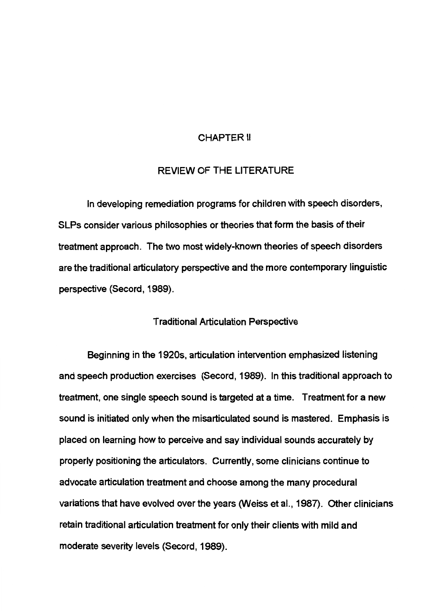#### CHAPTER II

#### REVIEW OF THE LITERATURE

In developing remediation programs for children with speech disorders, SLPs consider various philosophies or theories that form the basis of their treatment approach. The two most widely-known theories of speech disorders are the traditional articulatory perspective and the more contemporary linguistic perspective (Secord, 1989).

#### Traditional Articulation Perspective

Beginning in the 1920s, articulation intervention emphasized listening and speech production exercises (Secord, 1989). In this traditional approach to treatment, one single speech sound is targeted at a time. Treatment for a new sound is initiated only when the misarticulated sound is mastered. Emphasis is placed on learning how to perceive and say individual sounds accurately by properly positioning the articulators. Currently, some clinicians continue to advocate articulation treatment and choose among the many procedural variations that have evolved over the years (Weiss et al., 1987). Other clinicians retain traditional articulation treatment for only their clients with mild and moderate severity levels (Secord, 1989).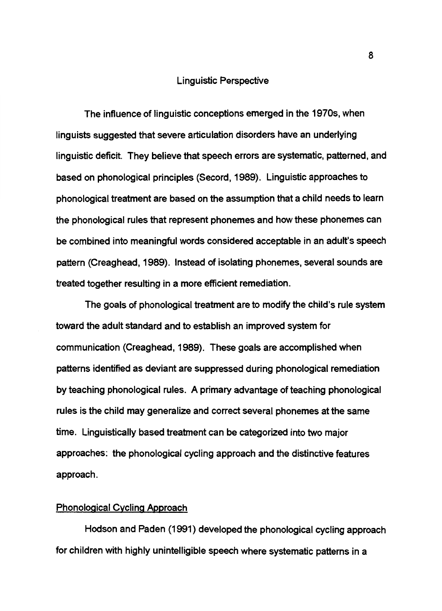#### Linguistic Perspective

The influence of linguistic conceptions emerged in the 1970s, when linguists suggested that severe articulation disorders have an underlying linguistic deficit. They believe that speech errors are systematic, patterned, and based on phonological principles (Secord, 1989). Linguistic approaches to phonological treatment are based on the assumption that a child needs to learn the phonological rules that represent phonemes and how these phonemes can be combined into meaningful words considered acceptable in an adult's speech pattern (Creaghead, 1989). Instead of isolating phonemes, several sounds are treated together resulting in a more efficient remediation.

The goals of phonological treatment are to modify the child's rule system toward the adult standard and to establish an improved system for communication (Creaghead, 1989). These goals are accomplished when patterns identified as deviant are suppressed during phonological remediation by teaching phonological rules. A primary advantage of teaching phonological rules is the child may generalize and correct several phonemes at the same time. Linguistically based treatment can be categorized into two major approaches: the phonological cycling approach and the distinctive features approach.

#### Phonological Cycling Approach

Hodson and Paden (1991) developed the phonological cycling approach for children with highly unintelligible speech where systematic patterns in a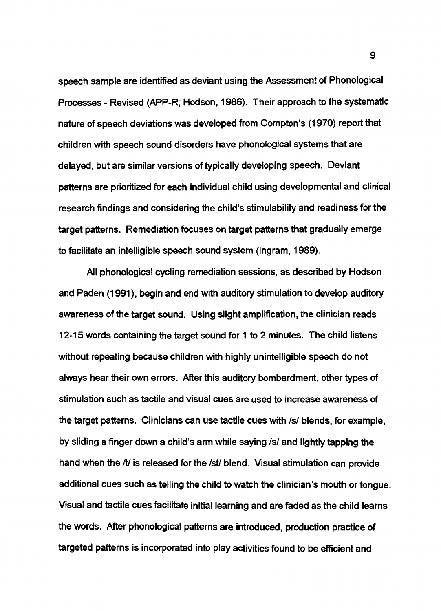speech sample are identified as deviant using the Assessment of Phonological Processes - Revised (APP-R; Hodson, 1986). Their approach to the systematic nature of speech deviations was developed from Compton's (1970) report that children with speech sound disorders have phonological systems that are delayed, but are similar versions of typically developing speech. Deviant patterns are prioritized for each individual child using developmental and clinical research findings and considering the child's stimulability and readiness for the target patterns. Remediation focuses on target patterns that gradually emerge to facilitate an intelligible speech sound system (Ingram, 1989).

All phonological cycling remediation sessions, as described by Hodson and Paden (1991), begin and end with auditory stimulation to develop auditory awareness of the target sound. Using slight amplification, the clinician reads 12-15 words containing the target sound for 1 to 2 minutes. The child listens without repeating because children with highly unintelligible speech do not always hear their own errors. After this auditory bombardment, other types of stimulation such as tactile and visual cues are used to increase awareness of the target patterns. Clinicians can use tactile cues with /s/ blends, for example, by sliding a finger down a child's arm while saying /s/ and lightly tapping the hand when the */ti* is released for the /st/ blend. Visual stimulation can provide additional cues such as telling the child to watch the clinician's mouth or tongue. Visual and tactile cues facilitate initial learning and are faded as the child learns the words. After phonological patterns are introduced, production practice of targeted patterns is incorporated into play activities found to be efficient and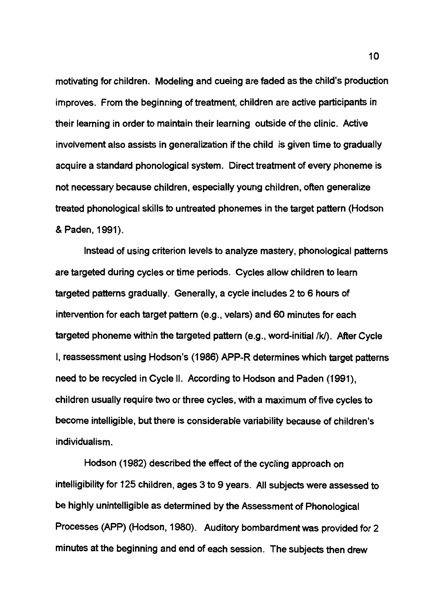motivating for children. Modeling and cueing are faded as the child's production improves. From the beginning of treatment, children are active participants in their learning in order to maintain their learning outside of the clinic. Active involvement also assists in generalization if the child is given time to gradually acquire a standard phonological system. Direct treatment of every phoneme is not necessary because children, especially young children, often generalize treated phonological skills to untreated phonemes in the target pattern (Hodson & Paden, 1991).

Instead of using criterion levels to analyze mastery, phonological patterns are targeted during cycles or time periods. Cycles allow children to learn targeted patterns gradually. Generally, a cycle includes 2 to 6 hours of intervention for each target pattern (e.g., velars) and 60 minutes for each targeted phoneme within the targeted pattern (e.g., word-initial /k/). After Cycle I, reassessment using Hodson's (1986) APP-R determines which target patterns need to be recycled in Cycle II. According to Hodson and Paden (1991), children usually require two or three cycles, with a maximum of five cycles to become intelligible, but there is considerable variability because of children's individualism.

Hodson (1982) described the effect of the cycling approach on intelligibility for 125 children, ages 3 to 9 years. All subjects were assessed to be highly unintelligible as determined by the Assessment of Phonological Processes (APP) (Hodson, 1980). Auditory bombardment was provided for 2 minutes at the beginning and end of each session. The subjects then drew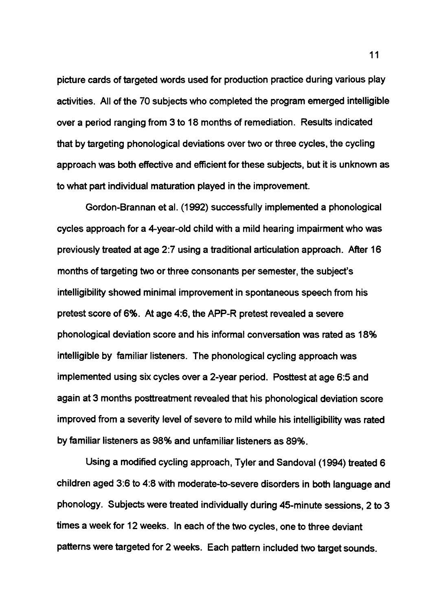picture cards of targeted words used for production practice during various play activities. All of the 70 subjects who completed the program emerged intelligible over a period ranging from 3 to 18 months of remediation. Results indicated that by targeting phonological deviations over two or three cycles, the cycling approach was both effective and efficient for these subjects, but it is unknown as to what part individual maturation played in the improvement.

Gordon-Brannan et al. (1992) successfully implemented a phonological cycles approach for a 4-year-old child with a mild hearing impairment who was previously treated at age 2:7 using a traditional articulation approach. After 16 months of targeting two or three consonants per semester, the subject's intelligibility showed minimal improvement in spontaneous speech from his pretest score of 6%. At age 4:6, the APP-R pretest revealed a severe phonological deviation score and his informal conversation was rated as 18% intelligible by familiar listeners. The phonological cycling approach was implemented using six cycles over a 2-year period. Posttest at age 6:5 and again at 3 months posttreatment revealed that his phonological deviation score improved from a severity level of severe to mild while his intelligibility was rated by familiar listeners as 98% and unfamiliar listeners as 89%.

Using a modified cycling approach, Tyler and Sandoval (1994) treated 6 children aged 3:6 to 4:8 with moderate-to-severe disorders in both language and phonology. Subjects were treated individually during 45-minute sessions, 2 to 3 times a week for 12 weeks. In each of the two cycles, one to three deviant patterns were targeted for 2 weeks. Each pattern included two target sounds.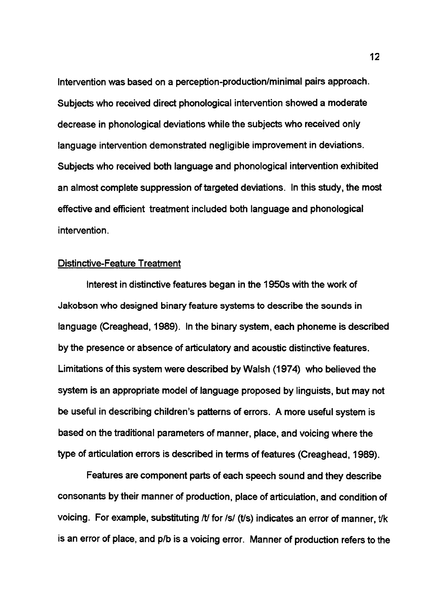Intervention was based on a perception-production/minimal pairs approach. Subjects who received direct phonological intervention showed a moderate decrease in phonological deviations while the subjects who received only language intervention demonstrated negligible improvement in deviations. Subjects who received both language and phonological intervention exhibited an almost complete suppression of targeted deviations. In this study, the most effective and efficient treatment included both language and phonological intervention.

#### Distinctive-Feature Treatment

Interest in distinctive features began in the 1950s with the work of Jakobson who designed binary feature systems to describe the sounds in language (Creaghead, 1989). In the binary system, each phoneme is described by the presence or absence of articulatory and acoustic distinctive features. Limitations of this system were described by Walsh (1974) who believed the system is an appropriate model of language proposed by linguists, but may not be useful in describing children's patterns of errors. A more useful system is based on the traditional parameters of manner, place, and voicing where the type of articulation errors is described in terms of features (Creaghead, 1989).

Features are component parts of each speech sound and they describe consonants by their manner of production, place of articulation, and condition of voicing. For example, substituting /t/ for /s/ (t/s) indicates an error of manner, t/k is an error of place, and p/b is a voicing error. Manner of production refers to the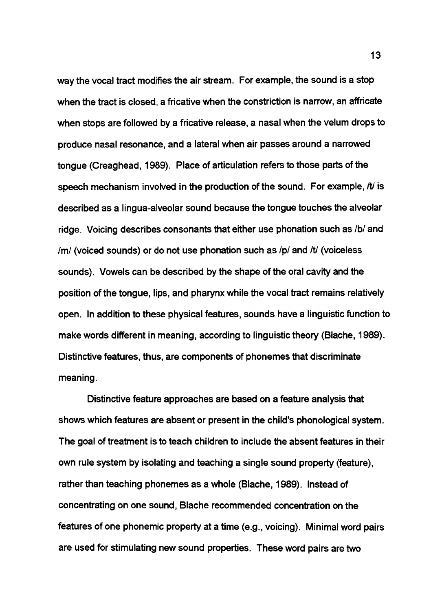way the vocal tract modifies the air stream. For example, the sound is a stop when the tract is closed, a fricative when the constriction is narrow, an affricate when stops are followed by a fricative release, a nasal when the velum drops to produce nasal resonance, and a lateral when air passes around a narrowed tongue (Creaghead, 1989). Place of articulation refers to those parts of the speech mechanism involved in the production of the sound. For example, *It is* described as a lingua-alveolar sound because the tongue touches the alveolar ridge. Voicing describes consonants that either use phonation such as /b/ and /m/ (voiced sounds) or do not use phonation such as /p/ and /t/ (voiceless sounds). Vowels can be described by the shape of the oral cavity and the position of the tongue, lips, and pharynx while the vocal tract remains relatively open. In addition to these physical features, sounds have a linguistic function to make words different in meaning, according to linguistic theory (Blache, 1989). Distinctive features, thus, are components of phonemes that discriminate meaning.

Distinctive feature approaches are based on a feature analysis that shows which features are absent or present in the child's phonological system. The goal of treatment is to teach children to include the absent features in their own rule system by isolating and teaching a single sound property (feature), rather than teaching phonemes as a whole (Blache, 1989). Instead of concentrating on one sound, Blache recommended concentration on the features of one phonemic property at a time (e.g., voicing). Minimal word pairs are used for stimulating new sound properties. These word pairs are two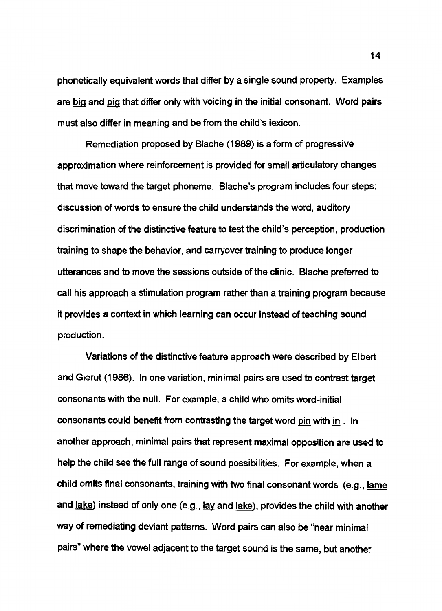phonetically equivalent words that differ by a single sound property. Examples are big and pig that differ only with voicing in the initial consonant. Word pairs must also differ in meaning and be from the child's lexicon.

Remediation proposed by Blache (1989) is a form of progressive approximation where reinforcement is provided for small articulatory changes that move toward the target phoneme. Blache's program includes four steps: discussion of words to ensure the child understands the word, auditory discrimination of the distinctive feature to test the child's perception, production training to shape the behavior, and carryover training to produce longer utterances and to move the sessions outside of the clinic. Blache preferred to call his approach a stimulation program rather than a training program because it provides a context in which learning can occur instead of teaching sound production.

Variations of the distinctive feature approach were described by Elbert and Gierut (1986). In one variation, minimal pairs are used to contrast target consonants with the null. For example, a child who omits word-initial consonants could benefit from contrasting the target word pin with in . In another approach, minimal pairs that represent maximal opposition are used to help the child see the full range of sound possibilities. For example, when a child omits final consonants, training with two final consonant words (e.g., <u>lame</u> and  $_{\rm lake}$ ) instead of only one (e.g.,  $_{\rm lay}$  and  $_{\rm lake}$ ), provides the child with another way of remediating deviant patterns. Word pairs can also be "near minimal pairs" where the vowel adjacent to the target sound is the same, but another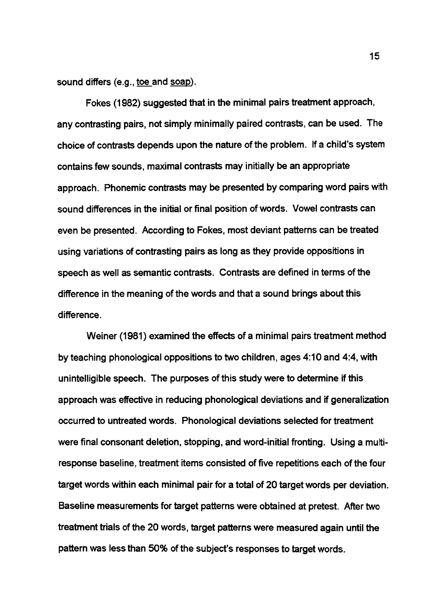sound differs (e.g., toe and soap).

Fokes (1982) suggested that in the minimal pairs treatment approach, any contrasting pairs, not simply minimally paired contrasts, can be used. The choice of contrasts depends upon the nature of the problem. If a child's system contains few sounds, maximal contrasts may initially be an appropriate approach. Phonemic contrasts may be presented by comparing word pairs with sound differences in the initial or final position of words. Vowel contrasts can even be presented. According to Fokes, most deviant patterns can be treated using variations of contrasting pairs as long as they provide oppositions in speech as well as semantic contrasts. Contrasts are defined in terms of the difference in the meaning of the words and that a sound brings about this difference.

Weiner (1981) examined the effects of a minimal pairs treatment method by teaching phonological oppositions to two children, ages 4:10 and 4:4, with unintelligible speech. The purposes of this study were to determine if this approach was effective in reducing phonological deviations and if generalization occurred to untreated words. Phonological deviations selected for treatment were final consonant deletion, stopping, and word-initial fronting. Using a multiresponse baseline, treatment items consisted of five repetitions each of the four target words within each minimal pair for a total of 20 target words per deviation. Baseline measurements for target patterns were obtained at pretest. After two treatment trials of the 20 words, target patterns were measured again until the pattern was less than 50% of the subject's responses to target words.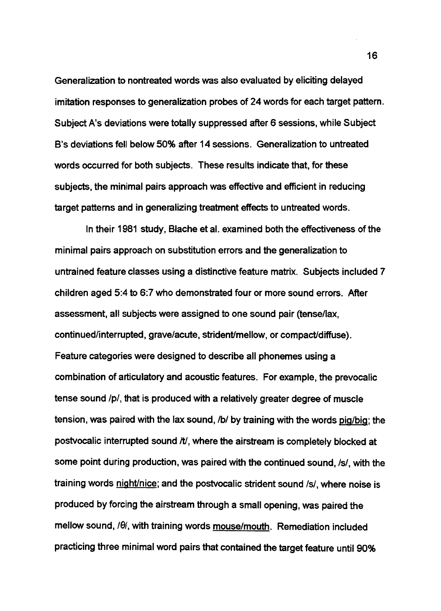Generalization to nontreated words was also evaluated by eliciting delayed imitation responses to generalization probes of 24 words for each target pattern. Subject A's deviations were totally suppressed after 6 sessions, while Subject B's deviations fell below 50% after 14 sessions. Generalization to untreated words occurred for both subjects. These results indicate that, for these subjects, the minimal pairs approach was effective and efficient in reducing target patterns and in generalizing treatment effects to untreated words.

In their 1981 study, Blache et al. examined both the effectiveness of the minimal pairs approach on substitution errors and the generalization to untrained feature classes using a distinctive feature matrix. Subjects included 7 children aged 5:4 to 6:7 who demonstrated four or more sound errors. After assessment, all subjects were assigned to one sound pair (tense/lax, continued/interrupted, grave/acute, strident/mellow, or compact/diffuse). Feature categories were designed to describe all phonemes using a combination of articulatory and acoustic features. For example, the prevocalic tense sound /p/, that is produced with a relatively greater degree of muscle tension, was paired with the lax sound, /b/ by training with the words pig/big; the postvocalic interrupted sound /t/, where the airstream is completely blocked at some point during production, was paired with the continued sound, /s/, with the training words night/nice; and the postvocalic strident sound /s/, where noise is produced by forcing the airstream through a small opening, was paired the mellow sound,  $\theta$ , with training words mouse/mouth. Remediation included practicing three minimal word pairs that contained the target feature until 90%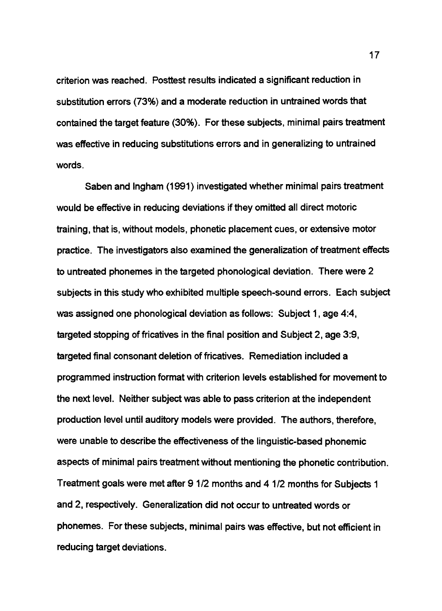criterion was reached. Posttest results indicated a significant reduction in substitution errors (73%) and a moderate reduction in untrained words that contained the target feature (30%). For these subjects, minimal pairs treatment was effective in reducing substitutions errors and in generalizing to untrained words.

Saben and Ingham (1991) investigated whether minimal pairs treatment would be effective in reducing deviations if they omitted all direct motoric training, that is, without models, phonetic placement cues, or extensive motor practice. The investigators also examined the generalization of treatment effects to untreated phonemes in the targeted phonological deviation. There were 2 subjects in this study who exhibited multiple speech-sound errors. Each subject was assigned one phonological deviation as follows: Subject 1, age 4:4, targeted stopping of fricatives in the final position and Subject 2, age 3:9, targeted final consonant deletion of fricatives. Remediation included a programmed instruction format with criterion levels established for movement to the next level. Neither subject was able to pass criterion at the independent production level until auditory models were provided. The authors, therefore, were unable to describe the effectiveness of the linguistic-based phonemic aspects of minimal pairs treatment without mentioning the phonetic contribution. Treatment goals were met after 9 1/2 months and 4 1/2 months for Subjects 1 and 2, respectively. Generalization did not occur to untreated words or phonemes. For these subjects, minimal pairs was effective, but not efficient in reducing target deviations.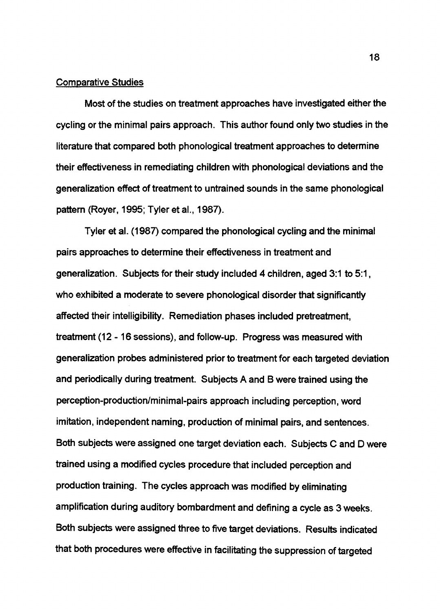#### Comparative Studies

Most of the studies on treatment approaches have investigated either the cycling or the minimal pairs approach. This author found only two studies in the literature that compared both phonological treatment approaches to determine their effectiveness in remediating children with phonological deviations and the generalization effect of treatment to untrained sounds in the same phonological pattern (Royer, 1995; Tyler et al., 1987).

Tyler et al. (1987) compared the phonological cycling and the minimal pairs approaches to determine their effectiveness in treatment and generalization. Subjects for their study included 4 children, aged 3:1 to 5:1, who exhibited a moderate to severe phonological disorder that significantly affected their intelligibility. Remediation phases included pretreatment, treatment (12 - 16 sessions), and follow-up. Progress was measured with generalization probes administered prior to treatment for each targeted deviation and periodically during treatment. Subjects A and B were trained using the perception-production/minimal-pairs approach including perception, word imitation, independent naming, production of minimal pairs, and sentences. Both subjects were assigned one target deviation each. Subjects C and D were trained using a modified cycles procedure that included perception and production training. The cycles approach was modified by eliminating amplification during auditory bombardment and defining a cycle as 3 weeks. Both subjects were assigned three to five target deviations. Results indicated that both procedures were effective in facilitating the suppression of targeted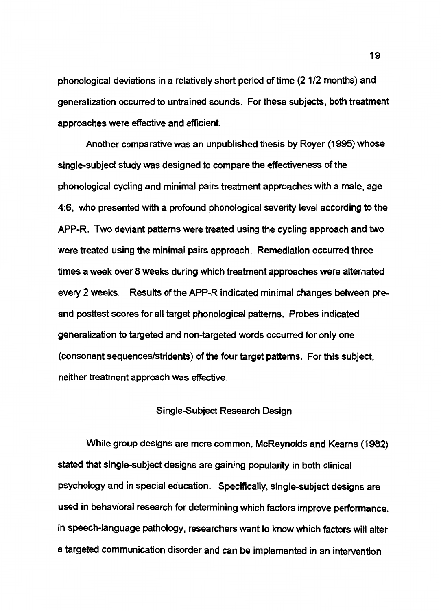phonological deviations in a relatively short period of time (2 1/2 months) and generalization occurred to untrained sounds. For these subjects, both treatment approaches were effective and efficient.

Another comparative was an unpublished thesis by Royer (1995) whose single-subject study was designed to compare the effectiveness of the phonological cycling and minimal pairs treatment approaches with a male, age 4:6, who presented with a profound phonological severity level according to the APP-R. Two deviant patterns were treated using the cycling approach and two were treated using the minimal pairs approach. Remediation occurred three times a week over 8 weeks during which treatment approaches were alternated every 2 weeks. Results of the APP-R indicated minimal changes between preand posttest scores for all target phonological patterns. Probes indicated generalization to targeted and non-targeted words occurred for only one (consonant sequences/stridents) of the four target patterns. For this subject, neither treatment approach was effective.

#### Single-Subject Research Design

While group designs are more common, McReynolds and Kearns (1982) stated that single-subject designs are gaining popularity in both clinical psychology and in special education. Specifically, single-subject designs are used in behavioral research for determining which factors improve performance. In speech-language pathology, researchers want to know which factors will alter a targeted communication disorder and can be implemented in an intervention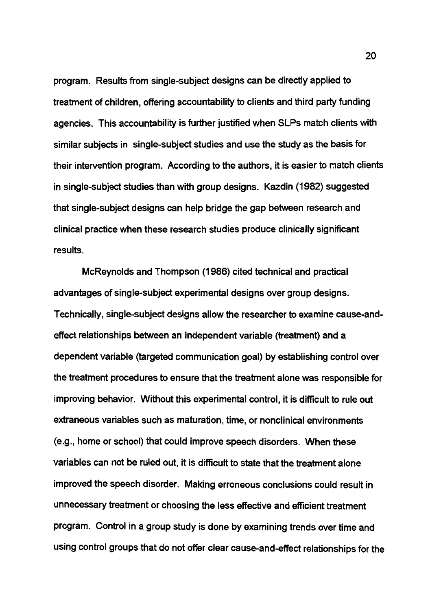program. Results from single-subject designs can be directly applied to treatment of children, offering accountability to clients and third party funding agencies. This accountability is further justified when SLPs match clients with similar subjects in single-subject studies and use the study as the basis for their intervention program. According to the authors, it is easier to match clients in single-subject studies than with group designs. Kazdin (1982) suggested that single-subject designs can help bridge the gap between research and clinical practice when these research studies produce clinically significant results.

McReynolds and Thompson (1986) cited technical and practical advantages of single-subject experimental designs over group designs. Technically, single-subject designs allow the researcher to examine cause-andeffect relationships between an independent variable (treatment) and a dependent variable (targeted communication goal) by establishing control over the treatment procedures to ensure that the treatment alone was responsible for improving behavior. Without this experimental control, it is difficult to rule out extraneous variables such as maturation, time, or nonclinical environments (e.g., home or school) that could improve speech disorders. When these variables can not be ruled out, it is difficult to state that the treatment alone improved the speech disorder. Making erroneous conclusions could result in unnecessary treatment or choosing the less effective and efficient treatment program. Control in a group study is done by examining trends over time and using control groups that do not offer clear cause-and-effect relationships for the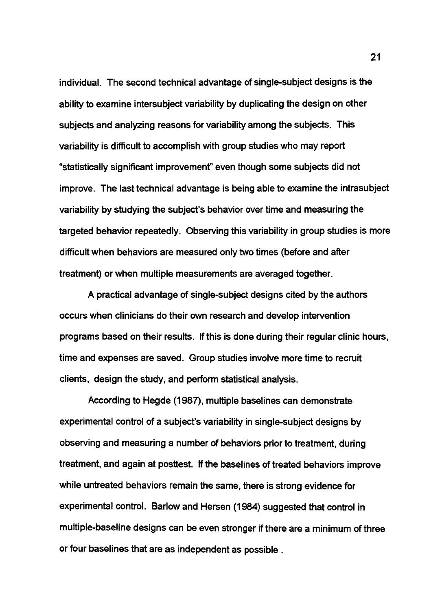individual. The second technical advantage of single-subject designs is the ability to examine intersubject variability by duplicating the design on other subjects and analyzing reasons for variability among the subjects. This variability is difficult to accomplish with group studies who may report "statistically significant improvemenf' even though some subjects did not improve. The last technical advantage is being able to examine the intrasubject variability by studying the subject's behavior over time and measuring the targeted behavior repeatedly. Observing this variability in group studies is more difficult when behaviors are measured only two times (before and after treatment) or when multiple measurements are averaged together.

A practical advantage of single-subject designs cited by the authors occurs when clinicians do their own research and develop intervention programs based on their results. If this is done during their regular clinic hours, time and expenses are saved. Group studies involve more time to recruit clients, design the study, and perform statistical analysis.

According to Hegde (1987), multiple baselines can demonstrate experimental control of a subject's variability in single-subject designs by observing and measuring a number of behaviors prior to treatment, during treatment, and again at posttest. If the baselines of treated behaviors improve while untreated behaviors remain the same, there is strong evidence for experimental control. Barlow and Hersen (1984) suggested that control in multiple-baseline designs can be even stronger if there are a minimum of three or four baselines that are as independent as possible .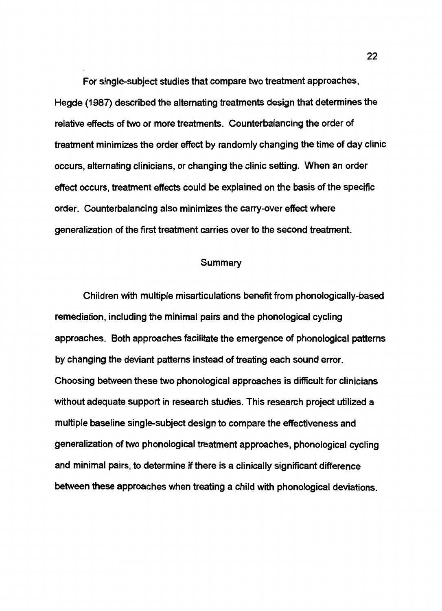For single-subject studies that compare two treatment approaches, Hegde (1987) described the alternating treatments design that determines the relative effects of two or more treatments. Counterbalancing the order of treatment minimizes the order effect by randomly changing the time of day clinic occurs, alternating clinicians, or changing the clinic setting. When an order effect occurs, treatment effects could be explained on the basis of the specific order. Counterbalancing also minimizes the carry-over effect where generalization of the first treatment carries over to the second treatment.

#### Summary

Children with multiple misarticulations benefit from phonologically-based remediation, including the minimal pairs and the phonological cycling approaches. Both approaches facilitate the emergence of phonological patterns by changing the deviant patterns instead of treating each sound error. Choosing between these two phonological approaches is difficult for clinicians without adequate support in research studies. This research project utilized a multiple baseline single-subject design to compare the effectiveness and generalization of two phonological treatment approaches, phonological cycling and minimal pairs, to determine if there is a clinically significant difference between these approaches when treating a child with phonological deviations.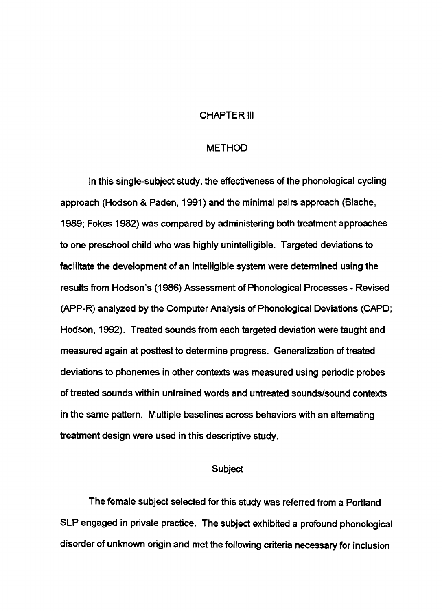#### CHAPTER Ill

#### METHOD

In this single-subject study, the effectiveness of the phonological cycling approach (Hodson & Paden, 1991) and the minimal pairs approach (Blache, 1989; Fokes 1982) was compared by administering both treatment approaches to one preschool child who was highly unintelligible. Targeted deviations to facilitate the development of an intelligible system were determined using the results from Hodson's (1986) Assessment of Phonological Processes - Revised (APP-R) analyzed by the Computer Analysis of Phonological Deviations (CAPO; Hodson, 1992). Treated sounds from each targeted deviation were taught and measured again at posttest to determine progress. Generalization of treated deviations to phonemes in other contexts was measured using periodic probes of treated sounds within untrained words and untreated sounds/sound contexts in the same pattern. Multiple baselines across behaviors with an alternating treatment design were used in this descriptive study.

#### Subject

The female subject selected for this study was referred from a Portland SLP engaged in private practice. The subject exhibited a profound phonological disorder of unknown origin and met the following criteria necessary for inclusion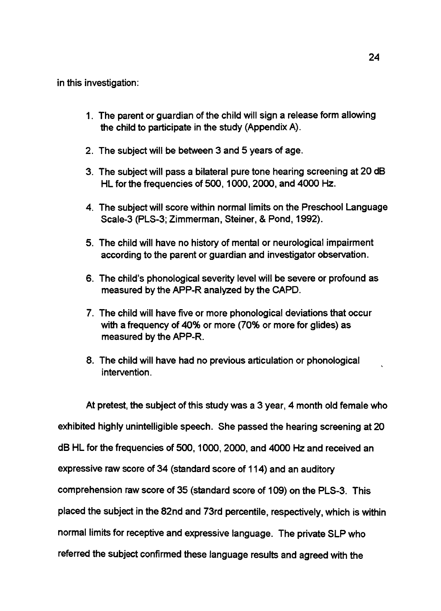in this investigation:

- 1. The parent or guardian of the child will sign a release form allowing the child to participate in the study (Appendix A).
- 2. The subject will be between 3 and 5 years of age.
- 3. The subject will pass a bilateral pure tone hearing screening at 20 dB HL for the frequencies of 500, 1000, 2000, and 4000 Hz.
- 4. The subject will score within normal limits on the Preschool Language Scale-3 (PLS-3; Zimmerman, Steiner, & Pond, 1992).
- 5. The child will have no history of mental or neurological impairment according to the parent or guardian and investigator observation.
- 6. The child's phonological severity level will be severe or profound as measured by the APP-R analyzed by the CAPD.
- 7. The child will have five or more phonological deviations that occur with a frequency of 40% or more (70% or more for glides) as measured by the APP-R.
- 8. The child will have had no previous articulation or phonological intervention.

At pretest, the subject of this study was a 3 year, 4 month old female who exhibited highly unintelligible speech. She passed the hearing screening at 20 dB HL for the frequencies of 500, 1000, 2000, and 4000 Hz and received an expressive raw score of 34 (standard score of 114) and an auditory comprehension raw score of 35 (standard score of 109) on the PLS-3. This placed the subject in the 82nd and 73rd percentile, respectively, which is within normal limits for receptive and expressive language. The private SLP who referred the subject confirmed these language results and agreed with the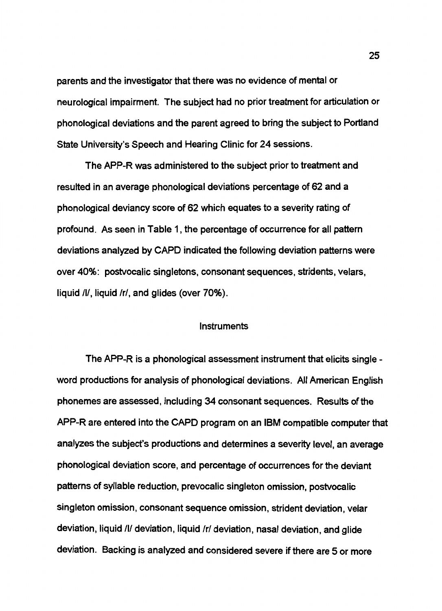parents and the investigator that there was no evidence of mental or neurological impairment. The subject had no prior treatment for articulation or phonological deviations and the parent agreed to bring the subject to Portland State University's Speech and Hearing Clinic for 24 sessions.

The APP-R was administered to the subject prior to treatment and resulted in an average phonological deviations percentage of 62 and a phonological deviancy score of 62 which equates to a severity rating of profound. As seen in Table 1, the percentage of occurrence for all pattern deviations analyzed by CAPO indicated the following deviation patterns were over 40%: postvocalic singletons, consonant sequences, stridents, velars, liquid /I/, liquid /r/, and glides (over 70%).

#### Instruments

The APP-R is a phonological assessment instrument that elicits single word productions for analysis of phonological deviations. All American English phonemes are assessed. including 34 consonant sequences. Results of the APP-R are entered into the CAPO program on an IBM compatible computer that analyzes the subject's productions and determines a severity level, an average phonological deviation score, and percentage of occurrences for the deviant patterns of syllable reduction, prevocalic singleton omission, postvocalic singleton omission, consonant sequence omission, strident deviation, velar deviation, liquid /I/ deviation, liquid /r/ deviation, nasal deviation, and glide deviation. Backing is analyzed and considered severe if there are 5 or more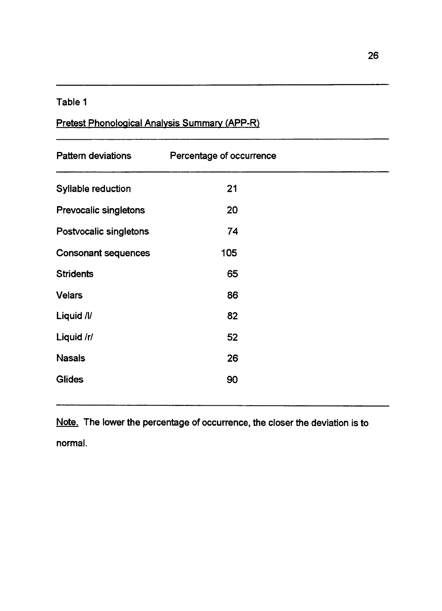## Table 1

# Pretest Phonological Analysis Summary (APP-R)

| <b>Pattern deviations</b>    | Percentage of occurrence |  |
|------------------------------|--------------------------|--|
| Syllable reduction           | 21                       |  |
| <b>Prevocalic singletons</b> | 20                       |  |
| Postvocalic singletons       | 74                       |  |
| <b>Consonant sequences</b>   | 105                      |  |
| <b>Stridents</b>             | 65                       |  |
| <b>Velars</b>                | 86                       |  |
| Liquid /l/                   | 82                       |  |
| Liquid /r/                   | 52                       |  |
| <b>Nasals</b>                | 26                       |  |
| <b>Glides</b>                | 90                       |  |

Note. The lower the percentage of occurrence, the closer the deviation is to normal.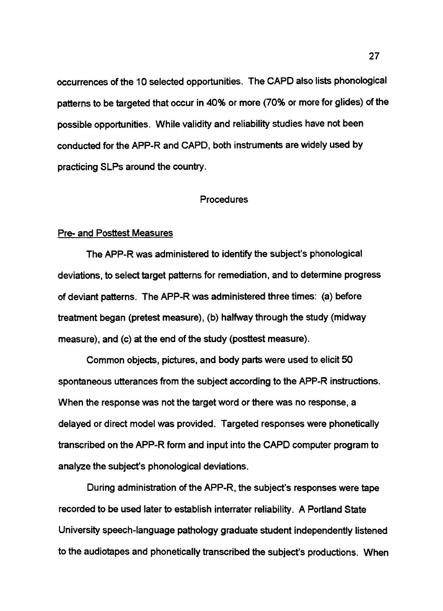occurrences of the 10 selected opportunities. The CAPO also lists phonological patterns to be targeted that occur in 40% or more (70% or more for glides) of the possible opportunities. While validity and reliability studies have not been conducted for the APP-R and CAPO, both instruments are widely used by practicing SLPs around the country.

#### Procedures

#### Pre- and Posttest Measures

The APP-R was administered to identify the subject's phonological deviations, to select target patterns for remediation, and to determine progress of deviant patterns. The APP-R was administered three times: (a) before treatment began (pretest measure), (b) halfway through the study (midway measure), and (c) at the end of the study (posttest measure).

Common objects, pictures, and body parts were used to elicit 50 spontaneous utterances from the subject according to the APP-R instructions. When the response was not the target word or there was no response, a delayed or direct model was provided. Targeted responses were phonetically transcribed on the APP-R form and input into the CAPO computer program to analyze the subject's phonological deviations.

During administration of the APP-R, the subject's responses were tape recorded to be used later to establish interrater reliability. A Portland State University speech-language pathology graduate student independently listened to the audiotapes and phonetically transcribed the subject's productions. When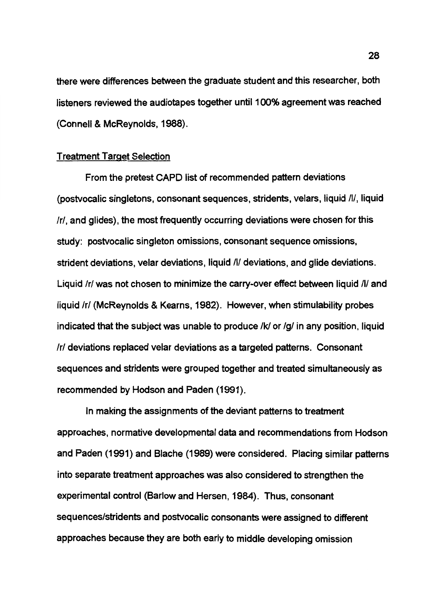there were differences between the graduate student and this researcher, both listeners reviewed the audiotapes together until 100% agreement was reached (Connell & McReynolds, 1988).

### Treatment Target Selection

From the pretest CAPO list of recommended pattern deviations (postvocalic singletons, consonant sequences, stridents, velars, liquid /I/, liquid *Ir/,* and glides), the most frequently occurring deviations were chosen for this study: postvocalic singleton omissions, consonant sequence omissions, strident deviations, velar deviations, liquid /I/ deviations, and glide deviations. Liquid /r/ was not chosen to minimize the carry-over effect between liquid /l/ and liquid /r/ (McReynolds & Kearns, 1982). However, when stimulability probes indicated that the subject was unable to produce /kl or *lg/* in any position, liquid *Ir/* deviations replaced velar deviations as a targeted patterns. Consonant sequences and stridents were grouped together and treated simultaneously as recommended by Hodson and Paden (1991).

In making the assignments of the deviant patterns to treatment approaches, normative developmental data and recommendations from Hodson and Paden (1991) and Blache (1989) were considered. Placing similar patterns into separate treatment approaches was also considered to strengthen the experimental control (Barlow and Hersen, 1984). Thus, consonant sequences/stridents and postvocalic consonants were assigned to different approaches because they are both early to middle developing omission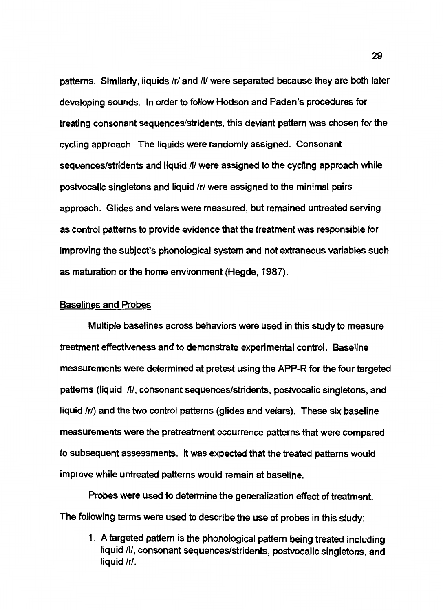patterns. Similarly, liquids /r/ and /I/ were separated because they are both later developing sounds. In order to follow Hodson and Paden's procedures for treating consonant sequences/stridents, this deviant pattern was chosen for the cycling approach. The liquids were randomly assigned. Consonant sequences/stridents and liquid /I/ were assigned to the cycling approach while postvocalic singletons and liquid /r/ were assigned to the minimal pairs approach. Glides and velars were measured, but remained untreated serving as control patterns to provide evidence that the treatment was responsible for improving the subject's phonological system and not extraneous variables such as maturation or the home environment (Hegde, 1987).

### Baselines and Probes

Multiple baselines across behaviors were used in this study to measure treatment effectiveness and to demonstrate experimental control. Baseline measurements were determined at pretest using the APP-R for the four targeted patterns (liquid /I/, consonant sequences/stridents, postvocalic singletons, and liquid /r/) and the two control patterns (glides and velars). These six baseline measurements were the pretreatment occurrence patterns that were compared to subsequent assessments. It was expected that the treated patterns would improve while untreated patterns would remain at baseline.

Probes were used to determine the generalization effect of treatment. The following terms were used to describe the use of probes in this study:

1. A targeted pattern is the phonological pattern being treated including liquid /I/, consonant sequences/stridents, postvocalic singletons, and liquid /r/.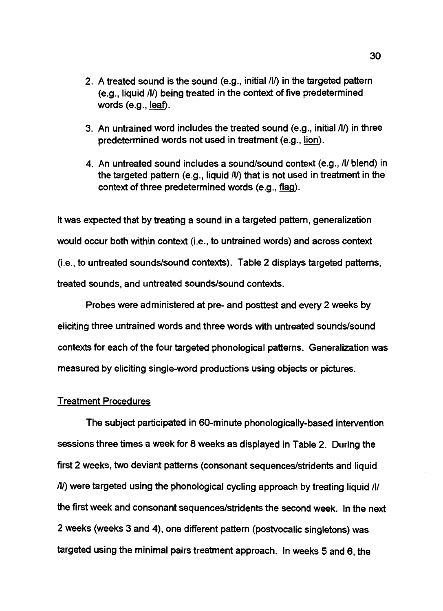- 2. A treated sound is the sound (e.g., initial /I/) in the targeted pattern (e.g., liquid /l/) being treated in the context of five predetermined words (e.g., <u>leaf</u>).
- 3. An untrained word includes the treated sound (e.g., initial /I/) in three predetermined words not used in treatment (e.g., lion).
- 4. An untreated sound includes a sound/sound context (e.g., /I/ blend) in the targeted pattern (e.g., liquid /l/) that is not used in treatment in the context of three predetermined words  $(e.g., flag)$ .

It was expected that by treating a sound in a targeted pattern, generalization would occur both within context (i.e., to untrained words) and across context (i.e., to untreated sounds/sound contexts). Table 2 displays targeted patterns, treated sounds, and untreated sounds/sound contexts.

Probes were administered at pre- and posttest and every 2 weeks by eliciting three untrained words and three words with untreated sounds/sound contexts for each of the four targeted phonological patterns. Generalization was measured by eliciting single-word productions using objects or pictures.

#### Treatment Procedures

The subject participated in SO-minute phonologically-based intervention sessions three times a week for 8 weeks as displayed in Table 2. During the first 2 weeks, two deviant patterns (consonant sequences/stridents and liquid /I/) were targeted using the phonological cycling approach by treating liquid /I/ the first week and consonant sequences/stridents the second week. In the next 2 weeks (weeks 3 and 4), one different pattern (postvocalic singletons) was targeted using the minimal pairs treatment approach. In weeks 5 and 6, the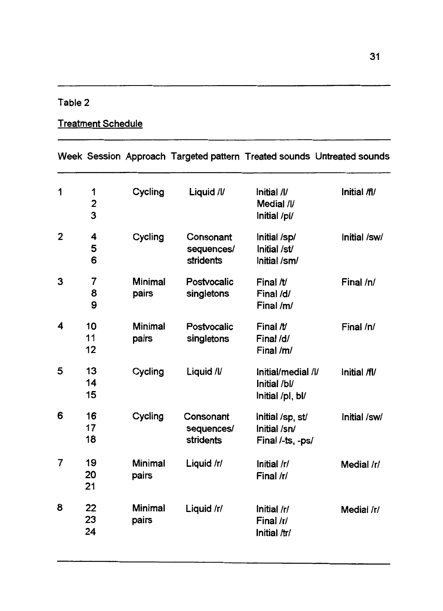# Table 2

# Treatment Schedule

|   |                          |                         |                                      |                                                        | Week Session Approach Targeted pattern Treated sounds Untreated sounds |
|---|--------------------------|-------------------------|--------------------------------------|--------------------------------------------------------|------------------------------------------------------------------------|
| 1 | 1<br>$\overline{c}$<br>3 | Cycling                 | Liquid /l/                           | Initial /l/<br>Medial /l/<br>Initial /pl/              | Initial /fl/                                                           |
| 2 | 4<br>5<br>6              | Cycling                 | Consonant<br>sequences/<br>stridents | Initial /sp/<br>Initial /st/<br>Initial /sm/           | Initial /sw/                                                           |
| 3 | 7<br>8<br>9              | <b>Minimal</b><br>pairs | Postvocalic<br>singletons            | Final /t/<br>Final /d/<br>Final /m/                    | Final /n/                                                              |
| 4 | 10<br>11<br>12           | <b>Minimal</b><br>pairs | Postvocalic<br>singletons            | Final $\n  W$<br>Final /d/<br>Final /m/                | Final /n/                                                              |
| 5 | 13<br>14<br>15           | Cycling                 | Liquid /l/                           | Initial/medial /l/<br>Initial /bl/<br>Initial /pl, bl/ | Initial /fl/                                                           |
| 6 | 16<br>17<br>18           | Cycling                 | Consonant<br>sequences/<br>stridents | Initial /sp, st/<br>Initial /sn/<br>Final /-ts, -ps/   | Initial /sw/                                                           |
| 7 | 19<br>20<br>21           | <b>Minimal</b><br>pairs | Liquid /r/                           | Initial /r/<br>Final /r/                               | Medial /r/                                                             |
| 8 | 22<br>23<br>24           | <b>Minimal</b><br>pairs | Liquid /r/                           | Initial /r/<br>Final /r/<br>Initial /tr/               | Medial /r/                                                             |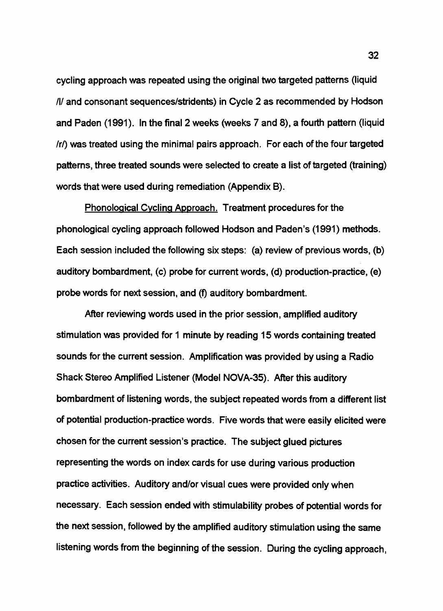cycling approach was repeated using the original two targeted patterns (liquid /I/ and consonant sequences/stridents) in Cycle 2 as recommended by Hodson and Paden (1991). In the final 2 weeks (weeks 7 and 8), a fourth pattern (liquid /r/) was treated using the minimal pairs approach. For each of the four targeted patterns, three treated sounds were selected to create a list of targeted (training) words that were used during remediation (Appendix 8).

Phonological Cycling Approach. Treatment procedures for the phonological cycling approach followed Hodson and Paden's (1991) methods. Each session included the following six steps: (a) review of previous words, (b) auditory bombardment, (c) probe for current words, (d) production-practice, (e) probe words for next session, and (f) auditory bombardment.

After reviewing words used in the prior session, amplified auditory stimulation was provided for 1 minute by reading 15 words containing treated sounds for the current session. Amplification was provided by using a Radio Shack Stereo Amplified Listener (Model NOVA-35). After this auditory bombardment of listening words, the subject repeated words from a different list of potential production-practice words. Five words that were easily elicited were chosen for the current session's practice. The subject glued pictures representing the words on index cards for use during various production practice activities. Auditory and/or visual cues were provided only when necessary. Each session ended with stimulability probes of potential words for the next session, followed by the amplified auditory stimulation using the same listening words from the beginning of the session. During the cycling approach,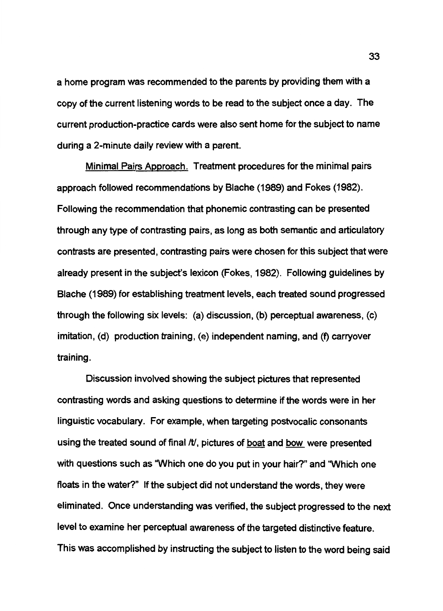a home program was recommended to the parents by providing them with a copy of the current listening words to be read to the subject once a day. The current production-practice cards were also sent home for the subject to name during a 2-minute daily review with a parent.

Minimal Pairs Approach. Treatment procedures for the minimal pairs approach followed recommendations by Blache (1989) and Fokes (1982). Following the recommendation that phonemic contrasting can be presented through any type of contrasting pairs, as long as both semantic and articulatory contrasts are presented, contrasting pairs were chosen for this subject that were already present in the subject's lexicon (Fokes, 1982). Following guidelines by Blache (1989) for establishing treatment levels, each treated sound progressed through the following six levels: (a) discussion, (b) perceptual awareness, (c) imitation, (d) production training, (e) independent naming, and (f) carryover training.

Discussion involved showing the subject pictures that represented contrasting words and asking questions to determine if the words were in her linguistic vocabulary. For example, when targeting postvocalic consonants using the treated sound of final /t/, pictures of boat and bow were presented with questions such as 'Which one do you put in your hair?" and 'Which one floats in the water?" If the subject did not understand the words, they were eliminated. Once understanding was verified, the subject progressed to the next level to examine her perceptual awareness of the targeted distinctive feature. This was accomplished by instructing the subject to listen to the word being said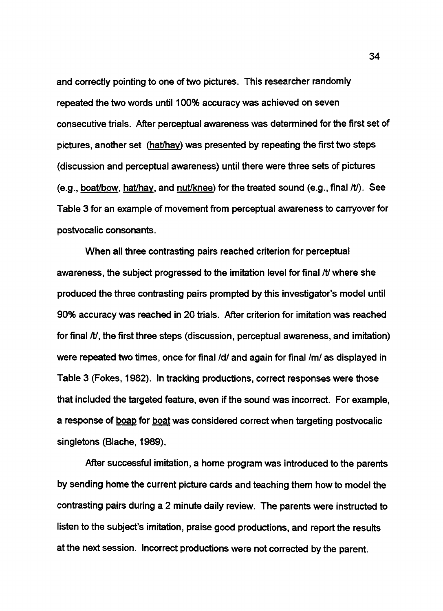and correctly pointing to one of two pictures. This researcher randomly repeated the two words until 100% accuracy was achieved on seven consecutive trials. After perceptual awareness was determined for the first set of pictures, another set (hat/hay) was presented by repeating the first two steps (discussion and perceptual awareness) until there were three sets of pictures (e.g., boat/bow, hat/hay, and nut/knee) for the treated sound (e.g., final  $\hbar$ ). See Table 3 for an example of movement from perceptual awareness to carryover for postvocalic consonants.

When all three contrasting pairs reached criterion for perceptual awareness, the subject progressed to the imitation level for final *It* where she produced the three contrasting pairs prompted by this investigator's model until 90% accuracy was reached in 20 trials. After criterion for imitation was reached for final  $/t$ , the first three steps (discussion, perceptual awareness, and imitation) were repeated two times, once for final /d/ and again for final /m/ as displayed in Table 3 (Fokes, 1982). In tracking productions, correct responses were those that included the targeted feature, even if the sound was incorrect. For example, a response of boap for boat was considered correct when targeting postvocalic singletons (Blache, 1989).

After successful imitation, a home program was introduced to the parents by sending home the current picture cards and teaching them how to model the contrasting pairs during a 2 minute daily review. The parents were instructed to listen to the subject's imitation, praise good productions, and report the results at the next session. Incorrect productions were not corrected by the parent.

34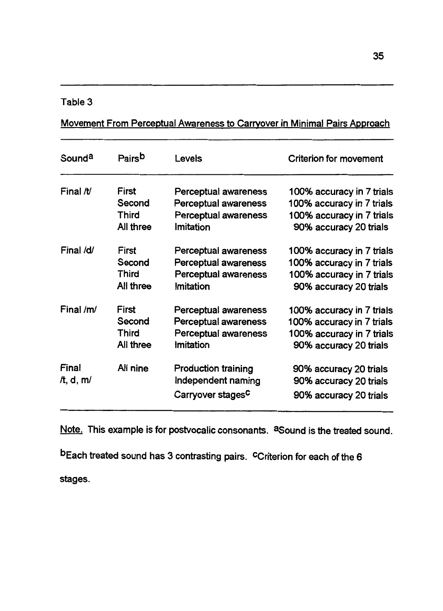## Table 3

Movement From Perceptual Awareness to Carrvover in Minimal Pairs Approach

| Sound <sup>a</sup>     | Pairsb       | Levels                                                                            | <b>Criterion for movement</b>                                              |
|------------------------|--------------|-----------------------------------------------------------------------------------|----------------------------------------------------------------------------|
| Final /t/              | First        | Perceptual awareness                                                              | 100% accuracy in 7 trials                                                  |
|                        | Second       | Perceptual awareness                                                              | 100% accuracy in 7 trials                                                  |
|                        | Third        | Perceptual awareness                                                              | 100% accuracy in 7 trials                                                  |
|                        | All three    | Imitation                                                                         | 90% accuracy 20 trials                                                     |
| Final /d/              | First        | Perceptual awareness                                                              | 100% accuracy in 7 trials                                                  |
|                        | Second       | Perceptual awareness                                                              | 100% accuracy in 7 trials                                                  |
|                        | Third        | Perceptual awareness                                                              | 100% accuracy in 7 trials                                                  |
|                        | All three    | Imitation                                                                         | 90% accuracy 20 trials                                                     |
| Final $/m/$            | <b>First</b> | Perceptual awareness                                                              | 100% accuracy in 7 trials                                                  |
|                        | Second       | Perceptual awareness                                                              | 100% accuracy in 7 trials                                                  |
|                        | Third        | Perceptual awareness                                                              | 100% accuracy in 7 trials                                                  |
|                        | All three    | Imitation                                                                         | 90% accuracy 20 trials                                                     |
| Final<br>$\pi$ , d, m/ | All nine     | <b>Production training</b><br>Independent naming<br>Carryover stages <sup>c</sup> | 90% accuracy 20 trials<br>90% accuracy 20 trials<br>90% accuracy 20 trials |

Note. This example is for postvocalic consonants. <sup>a</sup>Sound is the treated sound.

bEach treated sound has 3 contrasting pairs. Criterion for each of the 6

stages.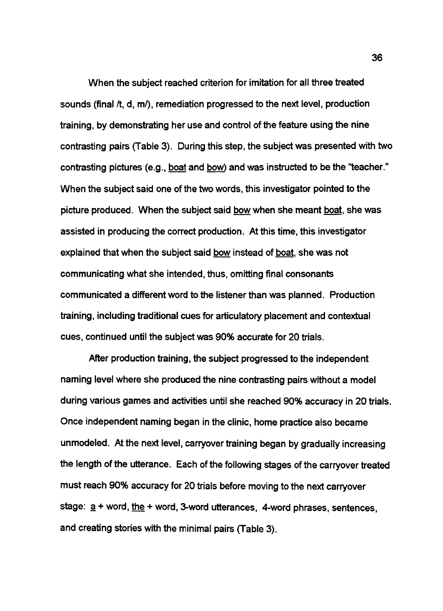When the subject reached criterion for imitation for all three treated sounds (final  $/t$ , d, m $/t$ ), remediation progressed to the next level, production training, by demonstrating her use and control of the feature using the nine contrasting pairs (Table 3). During this step, the subject was presented with two contrasting pictures (e.g., boat and bow) and was instructed to be the "teacher." When the subject said one of the two words, this investigator pointed to the picture produced. When the subject said bow when she meant boat, she was assisted in producing the correct production. At this time, this investigator explained that when the subject said bow instead of boat, she was not communicating what she intended, thus, omitting final consonants communicated a different word to the listener than was planned. Production training, including traditional cues for articulatory placement and contextual cues, continued until the subject was 90% accurate for 20 trials.

After production training, the subject progressed to the independent naming level where she produced the nine contrasting pairs without a model during various games and activities until she reached 90% accuracy in 20 trials. Once independent naming began in the clinic, home practice also became unmodeled. At the next level, carryover training began by gradually increasing the length of the utterance. Each of the following stages of the carryover treated must reach 90% accuracy for 20 trials before moving to the next carryover stage:  $\underline{a}$  + word, the + word, 3-word utterances, 4-word phrases, sentences, and creating stories with the minimal pairs (Table 3).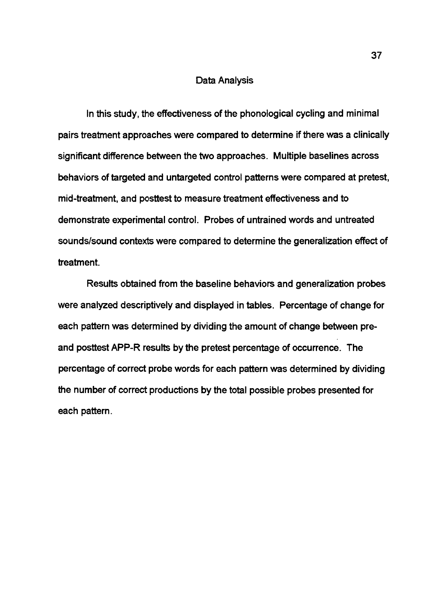### Data Analysis

In this study, the effectiveness of the phonological cycling and minimal pairs treatment approaches were compared to determine if there was a clinically significant difference between the two approaches. Multiple baselines across behaviors of targeted and untargeted control patterns were compared at pretest, mid-treatment, and posttest to measure treatment effectiveness and to demonstrate experimental control. Probes of untrained words and untreated sounds/sound contexts were compared to determine the generalization effect of treatment.

Results obtained from the baseline behaviors and generalization probes were analyzed descriptively and displayed in tables. Percentage of change for each pattern was determined by dividing the amount of change between preand posttest APP-R results by the pretest percentage of occurrence. The percentage of correct probe words for each pattern was determined by dividing the number of correct productions by the total possible probes presented for each pattern.

37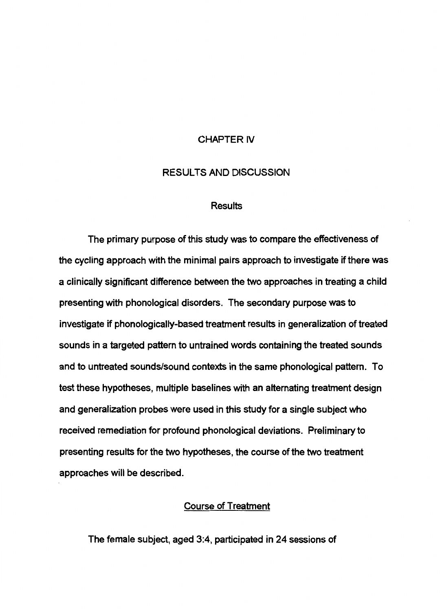### CHAPTER IV

### RESULTS AND DISCUSSION

### Results

The primary purpose of this study was to compare the effectiveness of the cycling approach with the minimal pairs approach to investigate if there was a clinically significant difference between the two approaches in treating a child presenting with phonological disorders. The secondary purpose was to investigate if phonologically-based treatment results in generalization of treated sounds in a targeted pattern to untrained words containing the treated sounds and to untreated sounds/sound contexts in the same phonological pattern. To test these hypotheses, multiple baselines with an alternating treatment design and generalization probes were used in this study for a single subject who received remediation for profound phonological deviations. Preliminary to presenting results for the two hypotheses, the course of the two treatment approaches will be described.

## Course of Treatment

The female subject, aged 3:4, participated in 24 sessions of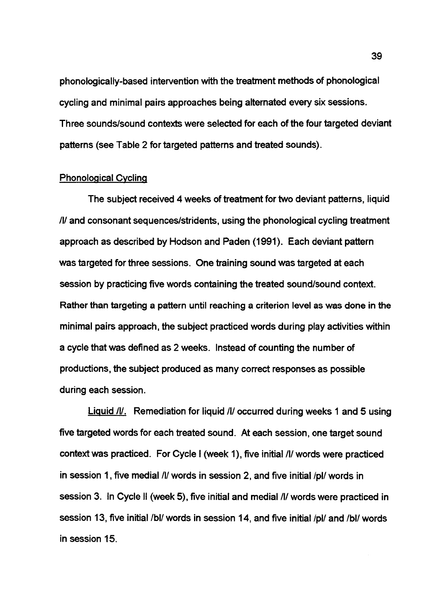phonologically-based intervention with the treatment methods of phonological cycling and minimal pairs approaches being alternated every six sessions. Three sounds/sound contexts were selected for each of the four targeted deviant patterns (see Table 2 for targeted patterns and treated sounds).

### Phonological Cycling

The subject received 4 weeks of treatment for two deviant patterns, liquid Ill and consonant sequences/stridents, using the phonological cycling treatment approach as described by Hodson and Paden (1991). Each deviant pattern was targeted for three sessions. One training sound was targeted at each session by practicing five words containing the treated sound/sound context. Rather than targeting a pattern until reaching a criterion level as was done in the minimal pairs approach, the subject practiced words during play activities within a cycle that was defined as 2 weeks. Instead of counting the number of productions, the subject produced as many correct responses as possible during each session.

Liquid *III.* Remediation for liquid *III* occurred during weeks 1 and 5 using five targeted words for each treated sound. At each session, one target sound context was practiced. For Cycle I (week 1), five initial /I/ words were practiced in session 1, five medial /I/ words in session 2, and five initial /pl/ words in session 3. In Cycle II (week 5), five initial and medial /I/ words were practiced in session 13, five initial /bl/ words in session 14, and five initial /pl/ and /bl/ words in session 15.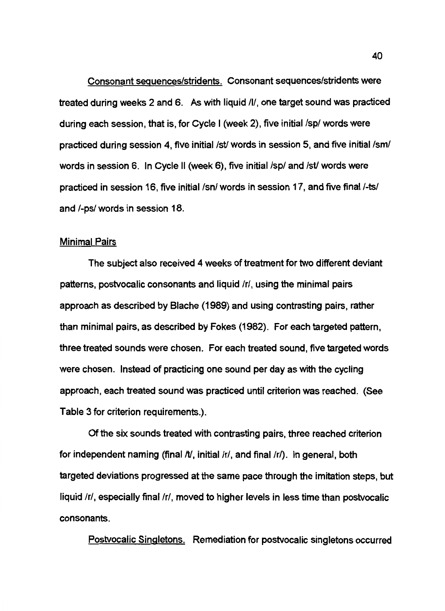Consonant seguences/stridents. Consonant sequences/stridents were treated during weeks 2 and 6. As with liquid /I/, one target sound was practiced during each session, that is, for Cycle I (week 2), five initial /sp/ words were practiced during session 4, five initial /st/ words in session 5, and five initial /sm/ words in session 6. In Cycle II (week 6), five initial /sp/ and /st/ words were practiced in session 16, five initial /sn/ words in session 17, and five final /-ts/ and /-ps/ words in session 18.

### Minimal Pairs

The subject also received 4 weeks of treatment for two different deviant patterns, postvocalic consonants and liquid /r/, using the minimal pairs approach as described by Blache (1989) and using contrasting pairs, rather than minimal pairs, as described by Fokes (1982). For each targeted pattern, three treated sounds were chosen. For each treated sound, five targeted words were chosen. Instead of practicing one sound per day as with the cycling approach, each treated sound was practiced until criterion was reached. (See Table 3 for criterion requirements.).

Of the six sounds treated with contrasting pairs, three reached criterion for independent naming (final  $tV$ , initial  $/t/$ , and final  $/t/$ ). In general, both targeted deviations progressed at the same pace through the imitation steps, but liquid /r/, especially final *Ir/,* moved to higher levels in less time than postvocalic consonants.

Postvocalic Singletons. Remediation for postvocalic singletons occurred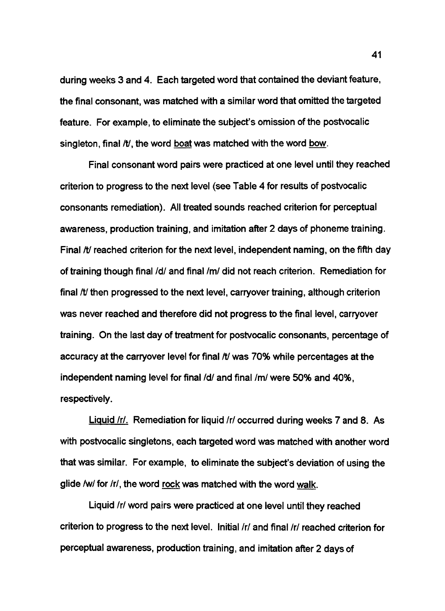during weeks 3 and 4. Each targeted word that contained the deviant feature, the final consonant, was matched with a similar word that omitted the targeted feature. For example, to eliminate the subject's omission of the postvocalic singleton, final */t/*, the word boat was matched with the word bow.

Final consonant word pairs were practiced at one level until they reached criterion to progress to the next level (see Table 4 for results of postvocalic consonants remediation). All treated sounds reached criterion for perceptual awareness, production training, and imitation after 2 days of phoneme training. Final  $N$  reached criterion for the next level, independent naming, on the fifth day of training though final /d/ and final /m/ did not reach criterion. Remediation for final */ti* then progressed to the next level, carryover training, although criterion was never reached and therefore did not progress to the final level, carryover training. On the last day of treatment for postvocalic consonants, percentage of accuracy at the carryover level for final *It/* was 70% while percentages at the independent naming level for final /d/ and final /m/ were 50% and 40%, respectively.

Liquid /r/. Remediation for liquid /r/ occurred during weeks 7 and 8. As with postvocalic singletons, each targeted word was matched with another word that was similar. For example, to eliminate the subject's deviation of using the glide /w/ for /r/, the word rock was matched with the word walk.

Liquid /r/ word pairs were practiced at one level until they reached criterion to progress to the next level. Initial /r/ and final /r/ reached criterion for perceptual awareness, production training, and imitation after 2 days of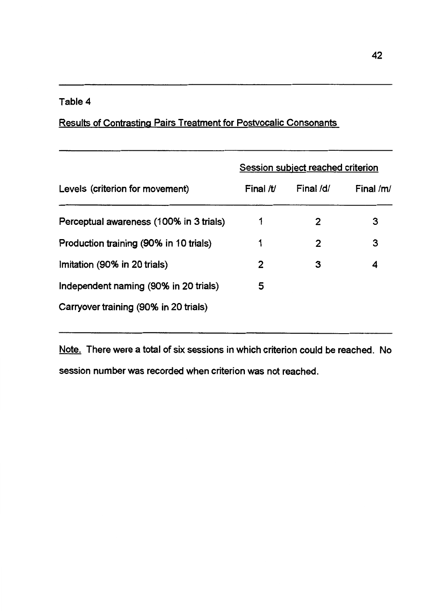## Table 4

## Results of Contrasting Pairs Treatment for Postvocalic Consonants

|                                         | Session subject reached criterion |           |             |  |
|-----------------------------------------|-----------------------------------|-----------|-------------|--|
| Levels (criterion for movement)         | Final /t/                         | Final /d/ | Final $/m/$ |  |
| Perceptual awareness (100% in 3 trials) | 1                                 | 2         | 3           |  |
| Production training (90% in 10 trials)  | 1                                 | 2         | 3           |  |
| Imitation (90% in 20 trials)            | $\mathbf{2}$                      | 3         | 4           |  |
| Independent naming (90% in 20 trials)   | 5                                 |           |             |  |
| Carryover training (90% in 20 trials)   |                                   |           |             |  |

Note. There were a total of six sessions in which criterion could be reached. No session number was recorded when criterion was not reached.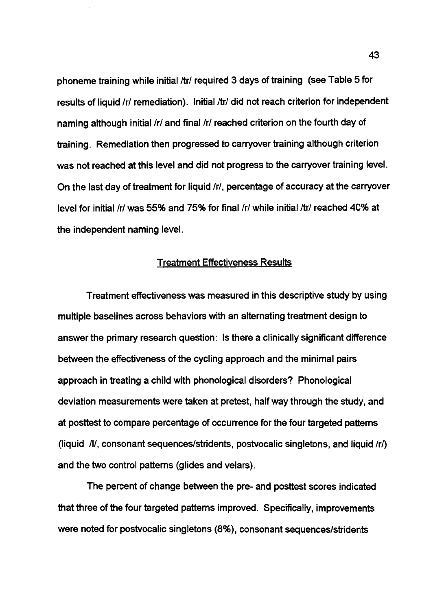phoneme training while initial /tr/ required 3 days of training (see Table 5 for results of liquid /r/ remediation). Initial /tr/ did not reach criterion for independent naming although initial *Ir/* and final *Ir/* reached criterion on the fourth day of training. Remediation then progressed to carryover training although criterion was not reached at this level and did not progress to the carryover training level. On the last day of treatment for liquid /r/, percentage of accuracy at the carryover level for initial /r/ was 55% and 75% for final *Ir/* while initial /tr/ reached 40% at the independent naming level.

### Treatment Effectiveness Results

Treatment effectiveness was measured in this descriptive study by using multiple baselines across behaviors with an alternating treatment design to answer the primary research question: Is there a clinically significant difference between the effectiveness of the cycling approach and the minimal pairs approach in treating a child with phonological disorders? Phonological deviation measurements were taken at pretest, half way through the study, and at posttest to compare percentage of occurrence for the four targeted patterns (liquid /I/, consonant sequences/stridents, postvocalic singletons, and liquid */rf)*  and the two control patterns (glides and velars).

The percent of change between the pre- and posttest scores indicated that three of the four targeted patterns improved. Specifically, improvements were noted for postvocalic singletons (8%), consonant sequences/stridents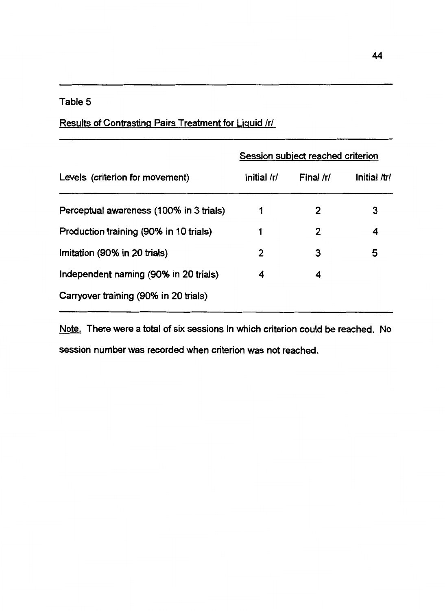## Table 5

## Results of Contrasting Pairs Treatment for Liquid /r/

|                                         | Session subject reached criterion |              |              |  |
|-----------------------------------------|-----------------------------------|--------------|--------------|--|
| Levels (criterion for movement)         | Initial /r/                       | Final /r/    | Initial /tr/ |  |
| Perceptual awareness (100% in 3 trials) | 1                                 | $\mathbf{2}$ | 3            |  |
| Production training (90% in 10 trials)  | 1                                 | 2            | 4            |  |
| Imitation (90% in 20 trials)            | 2                                 | 3            | 5            |  |
| Independent naming (90% in 20 trials)   | 4                                 | 4            |              |  |
| Carryover training (90% in 20 trials)   |                                   |              |              |  |

Note. There were a total of six sessions in which criterion could be reached. No session number was recorded when criterion was not reached.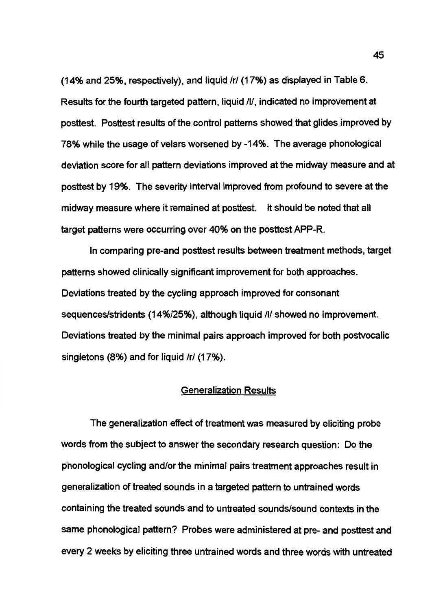(14% and 25%, respectively), and liquid /r/ (17%) as displayed in Table 6. Results for the fourth targeted pattern, liquid /I/, indicated no improvement at posttest. Posttest results of the control patterns showed that glides improved by 78% while the usage of velars worsened by -14%. The average phonological deviation score for all pattern deviations improved at the midway measure and at posttest by 19%. The severity interval improved from profound to severe at the midway measure where it remained at posttest. It should be noted that all target patterns were occurring over 40% on the posttest APP-R.

In comparing pre-and posttest results between treatment methods, target patterns showed clinically significant improvement for both approaches. Deviations treated by the cycling approach improved for consonant sequences/stridents (14%/25%), although liquid /I/ showed no improvement. Deviations treated by the minimal pairs approach improved for both postvocalic singletons (8%) and for liquid /r/ (17%).

### Generalization Results

The generalization effect of treatment was measured by eliciting probe words from the subject to answer the secondary research question: Do the phonological cycling and/or the minimal pairs treatment approaches result in generalization of treated sounds in a targeted pattern to untrained words containing the treated sounds and to untreated sounds/sound contexts in the same phonological pattern? Probes were administered at pre- and posttest and every 2 weeks by eliciting three untrained words and three words with untreated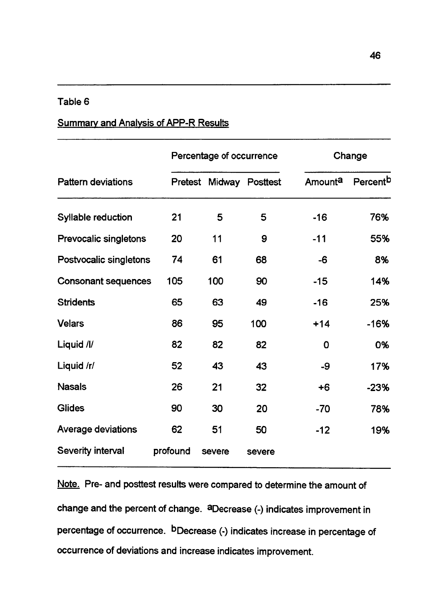## Table 6

## Summary and Analysis of APP-R Results

|                            | Percentage of occurrence |        |                 |         | Change               |  |
|----------------------------|--------------------------|--------|-----------------|---------|----------------------|--|
| <b>Pattern deviations</b>  | Pretest                  |        | Midway Posttest | Amounta | Percent <sup>b</sup> |  |
| Syllable reduction         | 21                       | 5      | 5               | $-16$   | 76%                  |  |
| Prevocalic singletons      | 20                       | 11     | 9               | $-11$   | 55%                  |  |
| Postvocalic singletons     | 74                       | 61     | 68              | -6      | 8%                   |  |
| <b>Consonant sequences</b> | 105                      | 100    | 90              | $-15$   | 14%                  |  |
| <b>Stridents</b>           | 65                       | 63     | 49              | $-16$   | 25%                  |  |
| <b>Velars</b>              | 86                       | 95     | 100             | $+14$   | $-16%$               |  |
| Liquid /l/                 | 82                       | 82     | 82              | 0       | 0%                   |  |
| Liquid /r/                 | 52                       | 43     | 43              | -9      | 17%                  |  |
| <b>Nasals</b>              | 26                       | 21     | 32              | $+6$    | $-23%$               |  |
| <b>Glides</b>              | 90                       | 30     | 20              | $-70$   | 78%                  |  |
| Average deviations         | 62                       | 51     | 50              | $-12$   | 19%                  |  |
| Severity interval          | profound                 | severe | severe          |         |                      |  |

Note. Pre- and posttest results were compared to determine the amount of change and the percent of change. aDecrease (-) indicates improvement in percentage of occurrence. bDecrease (-) indicates increase in percentage of occurrence of deviations and increase indicates improvement.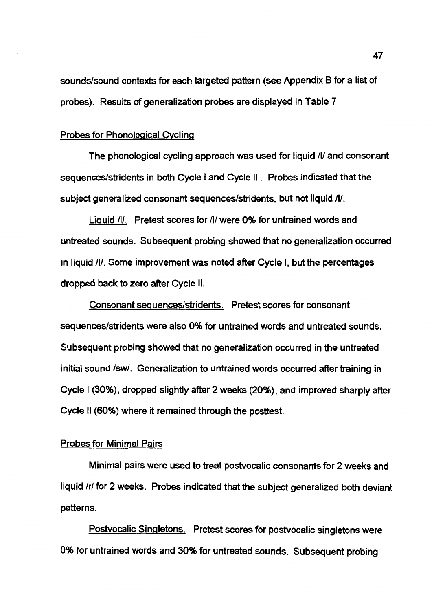sounds/sound contexts for each targeted pattern (see Appendix 8 for a list of probes). Results of generalization probes are displayed in Table 7.

### Probes for Phonological Cycling

The phonological cycling approach was used for liquid /I/ and consonant sequences/stridents in both Cycle I and Cycle II . Probes indicated that the subject generalized consonant sequences/stridents, but not liquid /I/.

Liquid /I/. Pretest scores for /I/ were 0% for untrained words and untreated sounds. Subsequent probing showed that no generalization occurred in liquid /I/. Some improvement was noted after Cycle I, but the percentages dropped back to zero after Cycle II.

Consonant seguences/stridents. Pretest scores for consonant sequences/stridents were also 0% for untrained words and untreated sounds. Subsequent probing showed that no generalization occurred in the untreated initial sound /sw/. Generalization to untrained words occurred after training in Cycle I (30%), dropped slightly after 2 weeks (20%), and improved sharply after Cycle II (60%) where it remained through the posttest.

### Probes for Minimal Pairs

Minimal pairs were used to treat postvocalic consonants for 2 weeks and liquid *Ir/* for 2 weeks. Probes indicated that the subject generalized both deviant patterns.

Postvocalic Singletons. Pretest scores for postvocalic singletons were 0% for untrained words and 30% for untreated sounds. Subsequent probing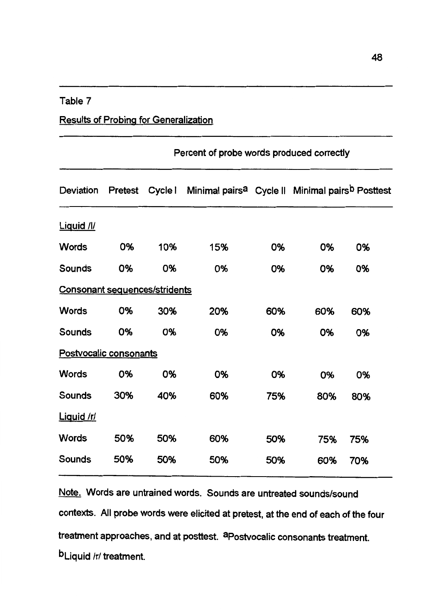### Table 7

## Results of Probing for Generalization

|                                      | Percent of probe words produced correctly |     |                                                                                 |     |     |     |
|--------------------------------------|-------------------------------------------|-----|---------------------------------------------------------------------------------|-----|-----|-----|
| Deviation                            | <b>Pretest</b>                            |     | Cycle   Minimal pairs <sup>a</sup> Cycle    Minimal pairs <sup>b</sup> Posttest |     |     |     |
| Liquid /l/                           |                                           |     |                                                                                 |     |     |     |
| <b>Words</b>                         | 0%                                        | 10% | 15%                                                                             | 0%  | 0%  | 0%  |
| Sounds                               | 0%                                        | 0%  | 0%                                                                              | 0%  | 0%  | 0%  |
| <b>Consonant sequences/stridents</b> |                                           |     |                                                                                 |     |     |     |
| <b>Words</b>                         | 0%                                        | 30% | 20%                                                                             | 60% | 60% | 60% |
| Sounds                               | 0%                                        | 0%  | 0%                                                                              | 0%  | 0%  | 0%  |
| Postvocalic consonants               |                                           |     |                                                                                 |     |     |     |
| <b>Words</b>                         | 0%                                        | 0%  | 0%                                                                              | 0%  | 0%  | 0%  |
| Sounds                               | 30%                                       | 40% | 60%                                                                             | 75% | 80% | 80% |
| Liquid /r/                           |                                           |     |                                                                                 |     |     |     |
| <b>Words</b>                         | 50%                                       | 50% | 60%                                                                             | 50% | 75% | 75% |
| Sounds                               | 50%                                       | 50% | 50%                                                                             | 50% | 60% | 70% |
|                                      |                                           |     |                                                                                 |     |     |     |

Note. Words are untrained words. Sounds are untreated sounds/sound contexts. All probe words were elicited at pretest, at the end of each of the four treatment approaches, and at posttest. <sup>apostvocalic</sup> consonants treatment. b<sub>Liquid</sub> /r/ treatment.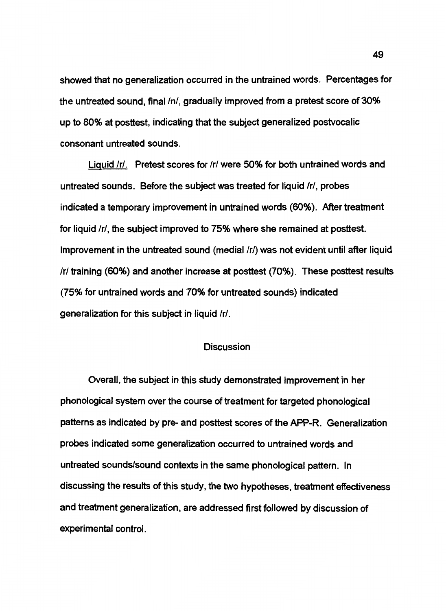showed that no generalization occurred in the untrained words. Percentages for the untreated sound, final  $/n/$ , gradually improved from a pretest score of 30% up to 80% at posttest, indicating that the subject generalized postvocalic consonant untreated sounds.

Liquid /r/. Pretest scores for *Ir/* were 50% for both untrained words and untreated sounds. Before the subject was treated for liquid /r/, probes indicated a temporary improvement in untrained words (60%). After treatment for liquid /r/, the subject improved to 75% where she remained at posttest. Improvement in the untreated sound (medial /r/) was not evident until after liquid *Ir/* training (60%) and another increase at posttest (70%). These posttest results (75% for untrained words and 70% for untreated sounds) indicated generalization for this subject in liquid /r/.

### Discussion

Overall, the subject in this study demonstrated improvement in her phonological system over the course of treatment for targeted phonological patterns as indicated by pre- and posttest scores of the APP-R. Generalization probes indicated some generalization occurred to untrained words and untreated sounds/sound contexts in the same phonological pattern. In discussing the results of this study, the two hypotheses, treatment effectiveness and treatment generalization, are addressed first followed by discussion of experimental control.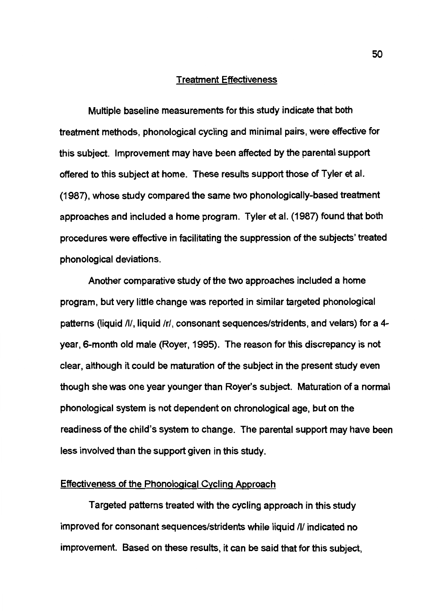#### Treatment Effectiveness

Multiple baseline measurements for this study indicate that both treatment methods, phonological cycling and minimal pairs, were effective for this subject. Improvement may have been affected by the parental support offered to this subject at home. These results support those of Tyler et al. (1987), whose study compared the same two phonologically-based treatment approaches and included a home program. Tyler et al. (1987) found that both procedures were effective in facilitating the suppression of the subjects' treated phonological deviations.

Another comparative study of the two approaches included a home program, but very little change was reported in similar targeted phonological patterns (liquid /I/, liquid /r/, consonant sequences/stridents, and velars) for a 4 year, 6-month old male (Royer, 1995). The reason for this discrepancy is not clear, although it could be maturation of the subject in the present study even though she was one year younger than Royer's subject. Maturation of a normal phonological system is not dependent on chronological age, but on the readiness of the child's system to change. The parental support may have been less involved than the support given in this study.

### Effectiveness of the Phonological Cycling Approach

Targeted patterns treated with the cycling approach in this study improved for consonant sequences/stridents while liquid /I/ indicated no improvement. Based on these results, it can be said that for this subject, 50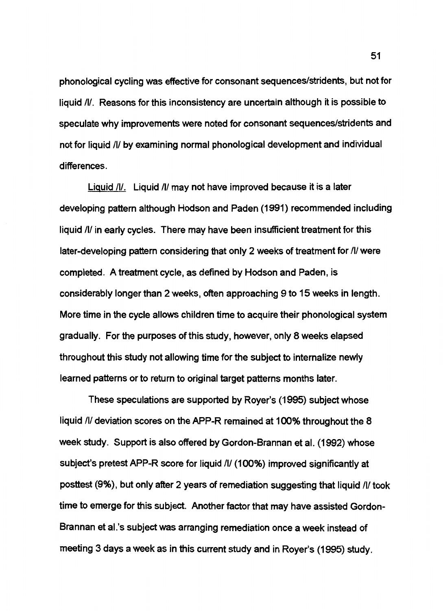phonological cycling was effective for consonant sequences/stridents, but not for liquid /I/. Reasons for this inconsistency are uncertain although it is possible to speculate why improvements were noted for consonant sequences/stridents and not for liquid /I/ by examining normal phonological development and individual differences.

Liquid /I/. Liquid /I/ may not have improved because it is a later developing pattern although Hodson and Paden (1991) recommended including liquid /I/ in early cycles. There may have been insufficient treatment for this later-developing pattern considering that only 2 weeks of treatment for /I/ were completed. A treatment cycle, as defined by Hodson and Paden, is considerably longer than 2 weeks, often approaching 9 to 15 weeks in length. More time in the cycle allows children time to acquire their phonological system gradually. For the purposes of this study, however, only 8 weeks elapsed throughout this study not allowing time for the subject to internalize newly learned patterns or to return to original target patterns months later.

These speculations are supported by Royer's (1995) subject whose liquid /I/ deviation scores on the APP-R remained at 100% throughout the 8 week study. Support is also offered by Gordon-Brannan et al. (1992) whose subject's pretest APP-R score for liquid /I/ (100%) improved significantly at posttest (9%), but only after 2 years of remediation suggesting that liquid /I/ took time to emerge for this subject. Another factor that may have assisted Gordon-Brannan et al.'s subject was arranging remediation once a week instead of meeting 3 days a week as in this current study and in Royer's (1995) study.

51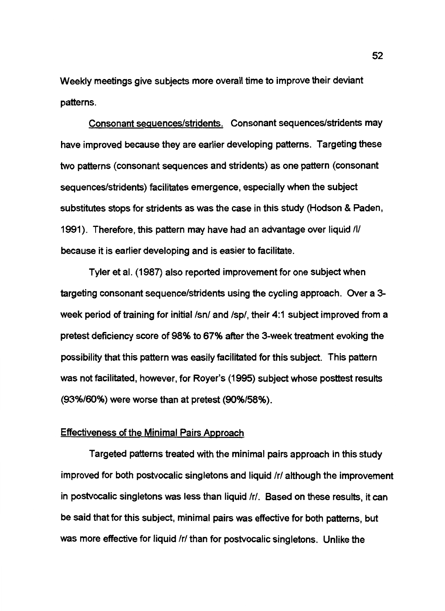Weekly meetings give subjects more overall time to improve their deviant patterns.

Consonant seguences/stridents. Consonant sequences/stridents may have improved because they are earlier developing patterns. Targeting these two patterns (consonant sequences and stridents) as one pattern (consonant sequences/stridents) facilitates emergence, especially when the subject substitutes stops for stridents as was the case in this study (Hodson & Paden, 1991). Therefore, this pattern may have had an advantage over liquid /l/ because it is earlier developing and is easier to facilitate.

Tyler et al. (1987) also reported improvement for one subject when targeting consonant sequence/stridents using the cycling approach. Over a 3 week period of training for initial /sn/ and /sp/, their 4:1 subject improved from a pretest deficiency score of 98% to 67% after the 3-week treatment evoking the possibility that this pattern was easily facilitated for this subject. This pattern was not facilitated, however, for Royer's (1995) subject whose posttest results (93%/60%) were worse than at pretest (90%/58%).

### Effectiveness of the Minimal Pairs Approach

Targeted patterns treated with the minimal pairs approach in this study improved for both postvocalic singletons and liquid /r/ although the improvement in postvocalic singletons was less than liquid /r/. Based on these results, it can be said that for this subject, minimal pairs was effective for both patterns, but was more effective for liquid /r/ than for postvocalic singletons. Unlike the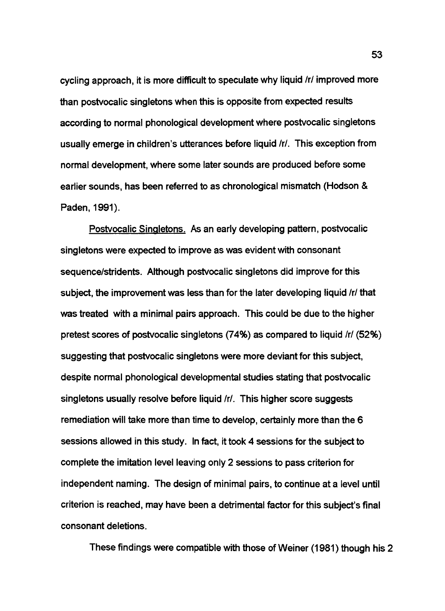cycling approach, it is more difficult to speculate why liquid /r/ improved more than postvocalic singletons when this is opposite from expected results according to normal phonological development where postvocalic singletons usually emerge in children's utterances before liquid /r/. This exception from normal development, where some later sounds are produced before some earlier sounds, has been referred to as chronological mismatch (Hodson & Paden, 1991).

Postvocalic Singletons. As an early developing pattern, postvocalic singletons were expected to improve as was evident with consonant sequence/stridents. Although postvocalic singletons did improve for this subject, the improvement was less than for the later developing liquid /r/ that was treated with a minimal pairs approach. This could be due to the higher pretest scores of postvocalic singletons (74%) as compared to liquid /r/ (52%) suggesting that postvocalic singletons were more deviant for this subject, despite normal phonological developmental studies stating that postvocalic singletons usually resolve before liquid /r/. This higher score suggests remediation will take more than time to develop, certainly more than the 6 sessions allowed in this study. In fact, it took 4 sessions for the subject to complete the imitation level leaving only 2 sessions to pass criterion for independent naming. The design of minimal pairs, to continue at a level until criterion is reached, may have been a detrimental factor for this subject's final consonant deletions.

These findings were compatible with those of Weiner (1981) though his 2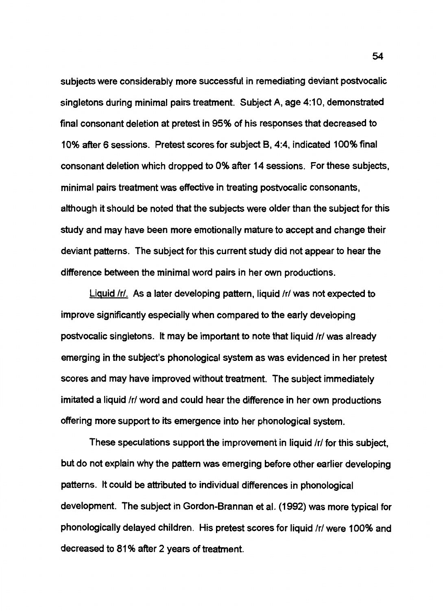subjects were considerably more successful in remediating deviant postvocalic singletons during minimal pairs treatment. Subject A, age 4:10, demonstrated final consonant deletion at pretest in 95% of his responses that decreased to 10% after 6 sessions. Pretest scores for subject B, 4:4, indicated 100% final consonant deletion which dropped to 0% after 14 sessions. For these subjects, minimal pairs treatment was effective in treating postvocalic consonants, although it should be noted that the subjects were older than the subject for this study and may have been more emotionally mature to accept and change their deviant patterns. The subject for this current study did not appear to hear the difference between the minimal word pairs in her own productions.

Liquid /r/. As a later developing pattern, liquid /r/ was not expected to improve significantly especially when compared to the early developing postvocalic singletons. It may be important to note that liquid /r/ was already emerging in the subject's phonological system as was evidenced in her pretest scores and may have improved without treatment. The subject immediately imitated a liquid /r/ word and could hear the difference in her own productions offering more support to its emergence into her phonological system.

These speculations support the improvement in liquid /r/ for this subject, but do not explain why the pattern was emerging before other earlier developing patterns. It could be attributed to individual differences in phonological development. The subject in Gordon-Brannan et al. (1992) was more typical for phonologically delayed children. His pretest scores for liquid /r/ were 100% and decreased to 81 % after 2 years of treatment.

54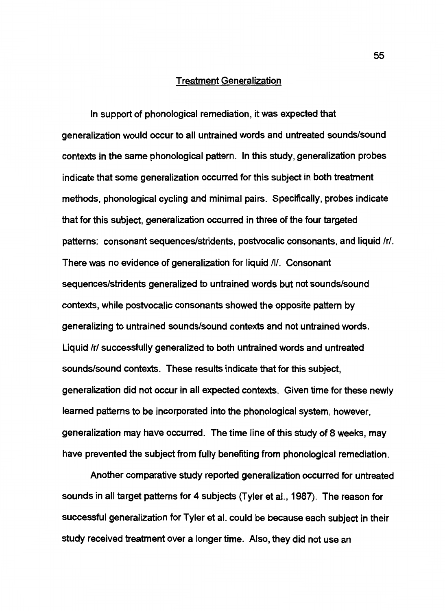### Treatment Generalization

In support of phonological remediation, it was expected that generalization would occur to all untrained words and untreated sounds/sound contexts in the same phonological pattern. In this study, generalization probes indicate that some generalization occurred for this subject in both treatment methods, phonological cycling and minimal pairs. Specifically, probes indicate that for this subject, generalization occurred in three of the four targeted patterns: consonant sequences/stridents, postvocalic consonants, and liquid /r/. There was no evidence of generalization for liquid /I/. Consonant sequences/stridents generalized to untrained words but not sounds/sound contexts, while postvocalic consonants showed the opposite pattern by generalizing to untrained sounds/sound contexts and not untrained words. Liquid /r/ successfully generalized to both untrained words and untreated sounds/sound contexts. These results indicate that for this subject, generalization did not occur in all expected contexts. Given time for these newly learned patterns to be incorporated into the phonological system, however, generalization may have occurred. The time line of this study of 8 weeks, may have prevented the subject from fully benefiting from phonological remediation.

Another comparative study reported generalization occurred for untreated sounds in all target patterns for 4 subjects (Tyler et al., 1987). The reason for successful generalization for Tyler et al. could be because each subject in their study received treatment over a longer time. Also, they did not use an

55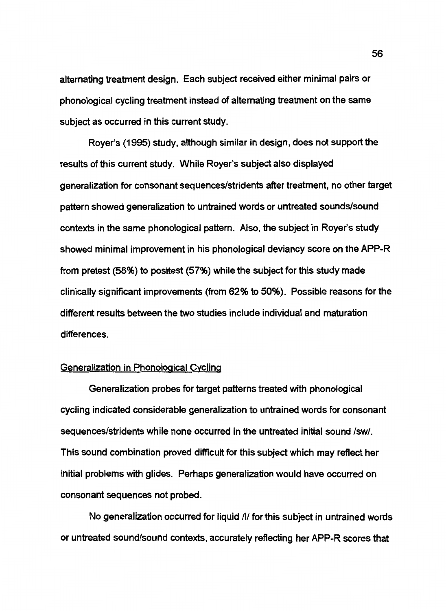alternating treatment design. Each subject received either minimal pairs or phonological cycling treatment instead of alternating treatment on the same subject as occurred in this current study.

Royer's (1995) study, although similar in design, does not support the results of this current study. While Royer's subject also displayed generalization for consonant sequences/stridents after treatment, no other target pattern showed generalization to untrained words or untreated sounds/sound contexts in the same phonological pattern. Also, the subject in Royer's study showed minimal improvement in his phonological deviancy score on the APP-R from pretest (58%) to posttest (57%) while the subject for this study made clinically significant improvements (from 62% to 50%). Possible reasons for the different results between the two studies include individual and maturation differences.

### Generalization in Phonological Cycling

Generalization probes for target patterns treated with phonological cycling indicated considerable generalization to untrained words for consonant sequences/stridents while none occurred in the untreated initial sound /sw/. This sound combination proved difficult for this subject which may reflect her initial problems with glides. Perhaps generalization would have occurred on consonant sequences not probed.

No generalization occurred for liquid /I/ for this subject in untrained words or untreated sound/sound contexts, accurately reflecting her APP-R scores that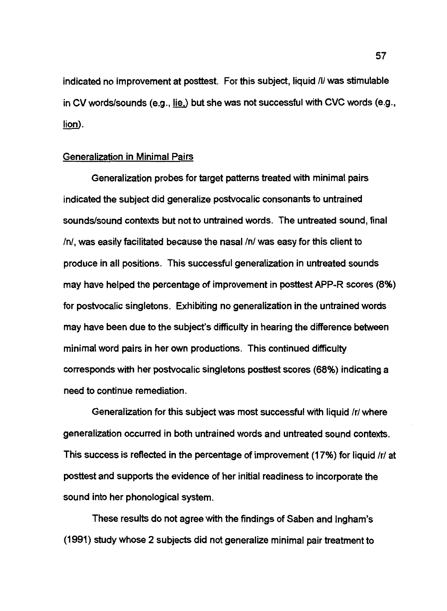indicated no improvement at posttest. For this subject, liquid /I/ was stimulable in CV words/sounds (e.g., lie,) but she was not successful with CVC words (e.g., lion).

### Generalization in Minimal Pairs

Generalization probes for target patterns treated with minimal pairs indicated the subject did generalize postvocalic consonants to untrained sounds/sound contexts but not to untrained words. The untreated sound, final In/, was easily facilitated because the nasal /n/ was easy for this client to produce in all positions. This successful generalization in untreated sounds may have helped the percentage of improvement in posttest APP-R scores (8%) for postvocalic singletons. Exhibiting no generalization in the untrained words may have been due to the subject's difficulty in hearing the difference between minimal word pairs in her own productions. This continued difficulty corresponds with her postvocalic singletons posttest scores (68%) indicating a need to continue remediation.

Generalization for this subject was most successful with liquid /r/ where generalization occurred in both untrained words and untreated sound contexts. This success is reflected in the percentage of improvement (17%) for liquid /r/ at posttest and supports the evidence of her initial readiness to incorporate the sound into her phonological system.

These results do not agree with the findings of Saben and lngham's (1991) study whose 2 subjects did not generalize minimal pair treatment to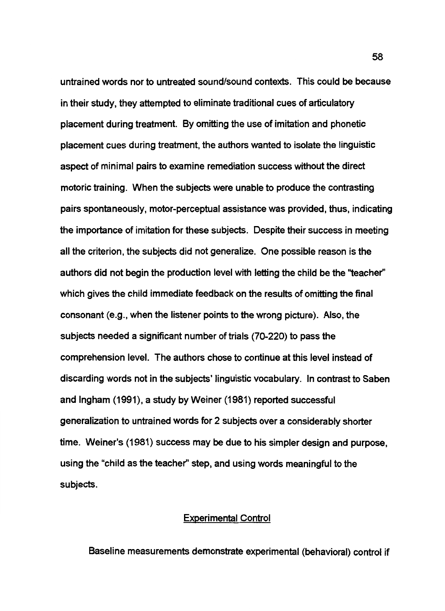untrained words nor to untreated sound/sound contexts. This could be because in their study, they attempted to eliminate traditional cues of articulatory placement during treatment. By omitting the use of imitation and phonetic placement cues during treatment, the authors wanted to isolate the linguistic aspect of minimal pairs to examine remediation success without the direct motoric training. When the subjects were unable to produce the contrasting pairs spontaneously, motor-perceptual assistance was provided, thus, indicating the importance of imitation for these subjects. Despite their success in meeting all the criterion, the subjects did not generalize. One possible reason is the authors did not begin the production level with letting the child be the ''teacher'' which gives the child immediate feedback on the results of omitting the final consonant (e.g., when the listener points to the wrong picture). Also, the subjects needed a significant number of trials (70-220) to pass the comprehension level. The authors chose to continue at this level instead of discarding words not in the subjects' linguistic vocabulary. In contrast to Saben and Ingham (1991), a study by Weiner (1981) reported successful generalization to untrained words for 2 subjects over a considerably shorter time. Weiner's (1981) success may be due to his simpler design and purpose, using the "child as the teacher'' step, and using words meaningful to the subjects.

### Experimental Control

Baseline measurements demonstrate experimental (behavioral) control if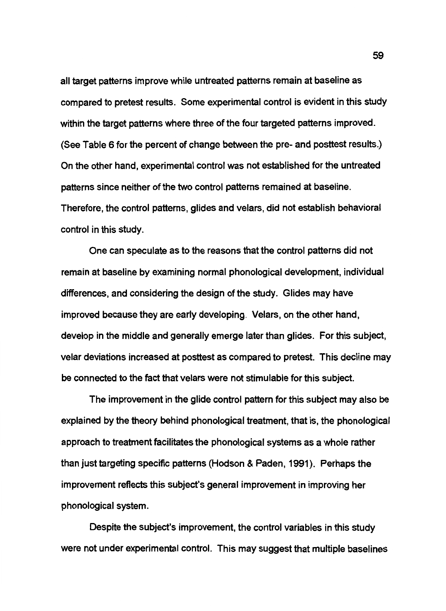all target patterns improve while untreated patterns remain at baseline as compared to pretest results. Some experimental control is evident in this study within the target patterns where three of the four targeted patterns improved. (See Table 6 for the percent of change between the pre- and posttest results.) On the other hand, experimental control was not established for the untreated patterns since neither of the two control patterns remained at baseline. Therefore, the control patterns, glides and velars, did not establish behavioral control in this study.

One can speculate as to the reasons that the control patterns did not remain at baseline by examining normal phonological development, individual differences, and considering the design of the study. Glides may have improved because they are early developing. Velars, on the other hand, develop in the middle and generally emerge later than glides. For this subject, velar deviations increased at posttest as compared to pretest. This decline may be connected to the fact that velars were not stimulable for this subject.

The improvement in the glide control pattern for this subject may also be explained by the theory behind phonological treatment, that is, the phonological approach to treatment facilitates the phonological systems as a whole rather than just targeting specific patterns (Hodson & Paden, 1991 ). Perhaps the improvement reflects this subject's general improvement in improving her phonological system.

Despite the subject's improvement, the control variables in this study were not under experimental control. This may suggest that multiple baselines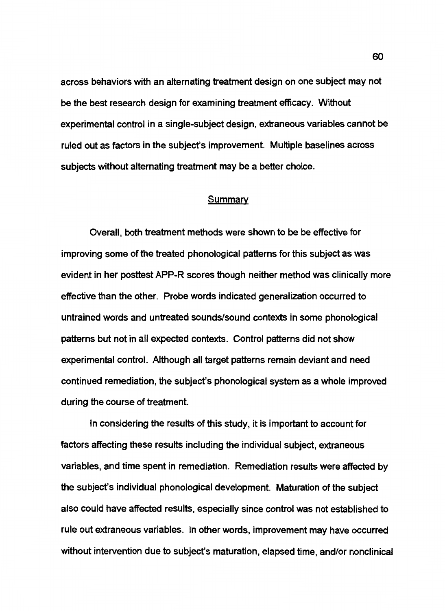across behaviors with an alternating treatment design on one subject may not be the best research design for examining treatment efficacy. Without experimental control in a single-subject design, extraneous variables cannot be ruled out as factors in the subject's improvement. Multiple baselines across subjects without alternating treatment may be a better choice.

### Summary

Overall, both treatment methods were shown to be be effective for improving some of the treated phonological patterns for this subject as was evident in her posttest APP-R scores though neither method was clinically more effective than the other. Probe words indicated generalization occurred to untrained words and untreated sounds/sound contexts in some phonological patterns but not in all expected contexts. Control patterns did not show experimental control. Although all target patterns remain deviant and need continued remediation, the subject's phonological system as a whole improved during the course of treatment.

In considering the results of this study, it is important to account for factors affecting these results including the individual subject, extraneous variables, and time spent in remediation. Remediation results were affected by the subject's individual phonological development. Maturation of the subject also could have affected results, especially since control was not established to rule out extraneous variables. In other words, improvement may have occurred without intervention due to subject's maturation, elapsed time, and/or nonclinical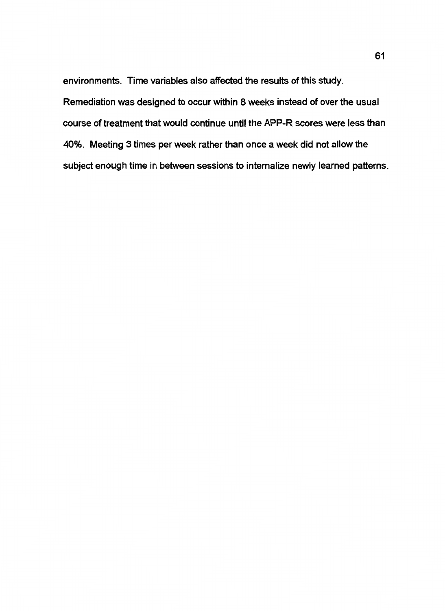environments. Time variables also affected the results of this study. Remediation was designed to occur within 8 weeks instead of over the usual course of treatment that would continue until the APP-R scores were less than 40%. Meeting 3 times per week rather than once a week did not allow the subject enough time in between sessions to internalize newly learned patterns.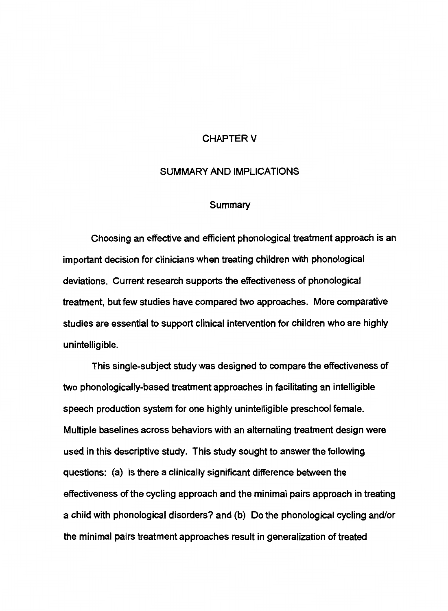## **CHAPTER V**

#### SUMMARY AND IMPLICATIONS

#### Summary

Choosing an effective and efficient phonological treatment approach is an important decision for clinicians when treating children with phonological deviations. Current research supports the effectiveness of phonological treatment, but few studies have compared two approaches. More comparative studies are essential to support clinical intervention for children who are highly unintelligible.

This single-subject study was designed to compare the effectiveness of two phonologically-based treatment approaches in facilitating an intelligible speech production system for one highly unintelligible preschool female. Multiple baselines across behaviors with an alternating treatment design were used in this descriptive study. This study sought to answer the following questions: (a) Is there a clinically significant difference between the effectiveness of the cycling approach and the minimal pairs approach in treating a child with phonological disorders? and (b) Do the phonological cycling and/or the minimal pairs treatment approaches result in generalization of treated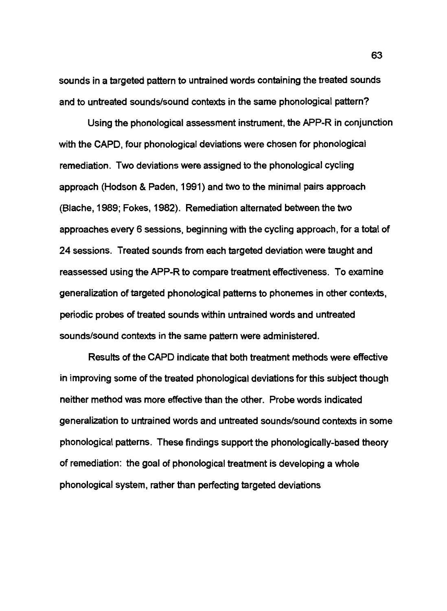sounds in a targeted pattern to untrained words containing the treated sounds and to untreated sounds/sound contexts in the same phonological pattern?

Using the phonological assessment instrument, the APP-R in conjunction with the CAPO, four phonological deviations were chosen for phonological remediation. Two deviations were assigned to the phonological cycling approach (Hodson & Paden, 1991) and two to the minimal pairs approach (Blache, 1989; Fokes, 1982). Remediation alternated between the two approaches every 6 sessions, beginning with the cycling approach, for a total of 24 sessions. Treated sounds from each targeted deviation were taught and reassessed using the APP-R to compare treatment effectiveness. To examine generalization of targeted phonological patterns to phonemes in other contexts, periodic probes of treated sounds within untrained words and untreated sounds/sound contexts in the same pattern were administered.

Results of the CAPO indicate that both treatment methods were effective in improving some of the treated phonological deviations for this subject though neither method was more effective than the other. Probe words indicated generalization to untrained words and untreated sounds/sound contexts in some phonological patterns. These findings support the phonologically-based theory of remediation: the goal of phonological treatment is developing a whole phonological system, rather than perfecting targeted deviations

63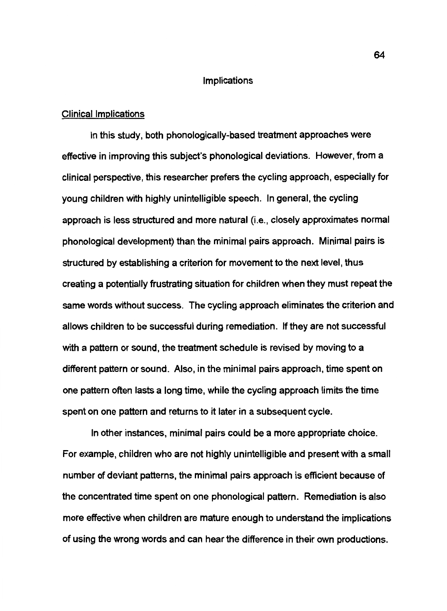#### Implications

#### Clinical Implications

In this study, both phonologically-based treatment approaches were effective in improving this subject's phonological deviations. However, from a clinical perspective, this researcher prefers the cycling approach, especially for young children with highly unintelligible speech. In general, the cycling approach is less structured and more natural (i.e., closely approximates normal phonological development) than the minimal pairs approach. Minimal pairs is structured by establishing a criterion for movement to the next level, thus creating a potentially frustrating situation for children when they must repeat the same words without success. The cycling approach eliminates the criterion and allows children to be successful during remediation. If they are not successful with a pattern or sound, the treatment schedule is revised by moving to a different pattern or sound. Also, in the minimal pairs approach, time spent on one pattern often lasts a long time, while the cycling approach limits the time spent on one pattern and returns to it later in a subsequent cycle.

In other instances, minimal pairs could be a more appropriate choice. For example, children who are not highly unintelligible and present with a small number of deviant patterns, the minimal pairs approach is efficient because of the concentrated time spent on one phonological pattern. Remediation is also more effective when children are mature enough to understand the implications of using the wrong words and can hear the difference in their own productions.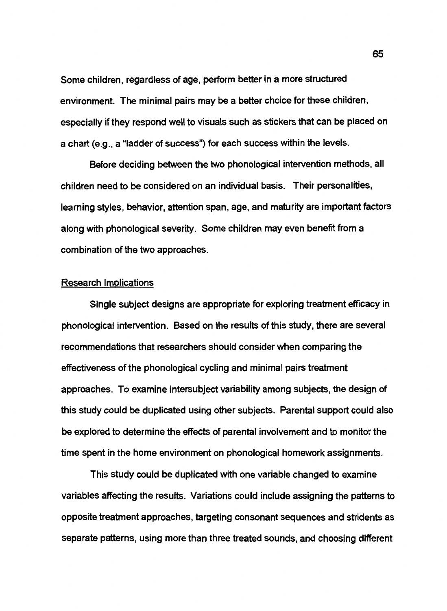Some children, regardless of age, perform better in a more structured environment. The minimal pairs may be a better choice for these children, especially if they respond well to visuals such as stickers that can be placed on a chart (e.g., a "ladder of success") for each success within the levels.

Before deciding between the two phonological intervention methods, all children need to be considered on an individual basis. Their personalities, learning styles, behavior, attention span, age, and maturity are important factors along with phonological severity. Some children may even benefit from a combination of the two approaches.

## Research Implications

Single subject designs are appropriate for exploring treatment efficacy in phonological intervention. Based on the results of this study, there are several recommendations that researchers should consider when comparing the effectiveness of the phonological cycling and minimal pairs treatment approaches. To examine intersubject variability among subjects, the design of this study could be duplicated using other subjects. Parental support could also be explored to determine the effects of parental involvement and to monitor the time spent in the home environment on phonological homework assignments.

This study could be duplicated with one variable changed to examine variables affecting the results. Variations could include assigning the patterns to opposite treatment approaches, targeting consonant sequences and stridents as separate patterns, using more than three treated sounds, and choosing different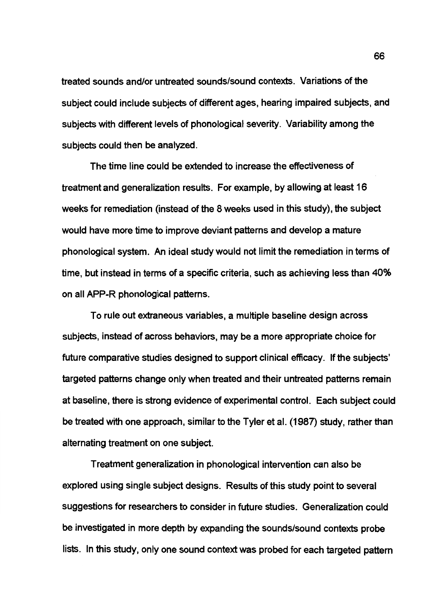treated sounds and/or untreated sounds/sound contexts. Variations of the subject could include subjects of different ages, hearing impaired subjects, and subjects with different levels of phonological severity. Variability among the subjects could then be analyzed.

The time line could be extended to increase the effectiveness of treatment and generalization results. For example, by allowing at least 16 weeks for remediation (instead of the 8 weeks used in this study), the subject would have more time to improve deviant patterns and develop a mature phonological system. An ideal study would not limit the remediation in terms of time, but instead in terms of a specific criteria, such as achieving less than 40% on all APP-R phonological patterns.

To rule out extraneous variables, a multiple baseline design across subjects, instead of across behaviors, may be a more appropriate choice for future comparative studies designed to support clinical efficacy. If the subjects' targeted patterns change only when treated and their untreated patterns remain at baseline, there is strong evidence of experimental control. Each subject could be treated with one approach, similar to the Tyler et al. (1987) study, rather than alternating treatment on one subject.

Treatment generalization in phonological intervention can also be explored using single subject designs. Results of this study point to several suggestions for researchers to consider in future studies. Generalization could be investigated in more depth by expanding the sounds/sound contexts probe lists. In this study, only one sound context was probed for each targeted pattern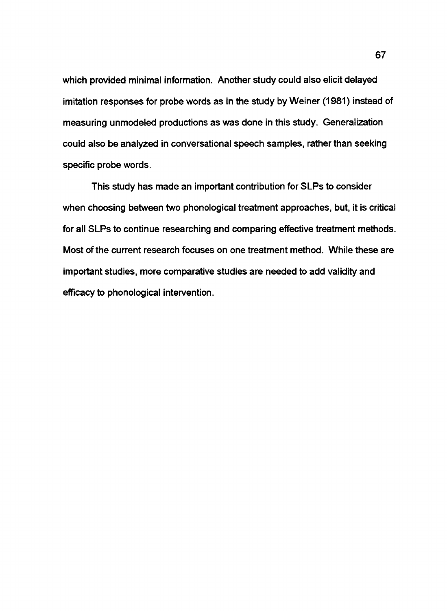which provided minimal information. Another study could also elicit delayed imitation responses for probe words as in the study by Weiner (1981) instead of measuring unmodeled productions as was done in this study. Generalization could also be analyzed in conversational speech samples, rather than seeking specific probe words.

This study has made an important contribution for SLPs to consider when choosing between two phonological treatment approaches, but, it is critical for all SLPs to continue researching and comparing effective treatment methods. Most of the current research focuses on one treatment method. While these are important studies, more comparative studies are needed to add validity and efficacy to phonological intervention.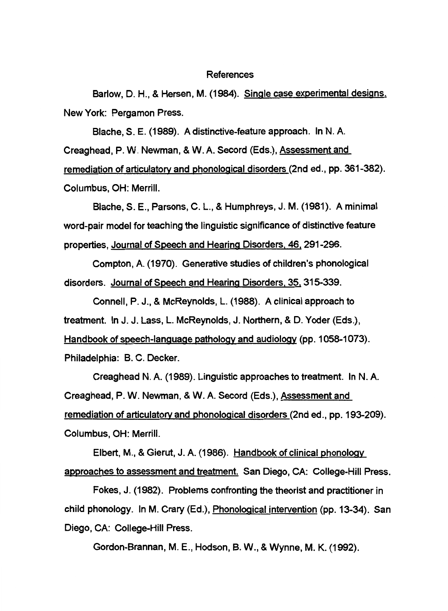#### References

Barlow, D. H., & Hersen, M. (1984). Single case experimental designs. New York: Pergamon Press.

Blache, S. E. (1989). A distinctive-feature approach. In N. A.

Creaghead, P. W. Newman, & W. A. Secord (Eds.), Assessment and

remediation of articulatory and phonological disorders (2nd ed., pp. 361-382). Columbus, OH: Merrill.

Blache, S. E., Parsons, C. L., & Humphreys, J.M. (1981). A minimal word-pair model for teaching the linguistic significance of distinctive feature properties, Journal of Speech and Hearing Disorders. 46. 291-296.

Compton, A. (1970). Generative studies of children's phonological disorders. Journal of Speech and Hearing Disorders. 35. 315-339.

Connell, P. J., & McReynolds, L. (1988). A clinical approach to treatment. In J. J. Lass, L. McReynolds, J. Northern, & D. Yoder (Eds.),

Handbook of speech-language pathology and audiology (pp. 1058-1073).

Philadelphia: B. C. Decker.

Creaghead N. A. (1989). Linguistic approaches to treatment. In N. A.

Creaghead, P. W. Newman, & W. A. Secord (Eds.), Assessment and

remediation of articulatory and phonological disorders (2nd ed., pp. 193-209). Columbus, OH: Merrill.

Elbert, M., & Gierut, J. A. (1986). Handbook of clinical phonology approaches to assessment and treatment. San Diego, CA: College-Hill Press.

Fokes, J. (1982). Problems confronting the theorist and practitioner in child phonology. In M. Crary (Ed.), Phonological intervention (pp. 13-34). San Diego, CA: College-Hill Press.

Gordon-Brannan, M. E., Hodson, B. W., & Wynne, M. K. (1992).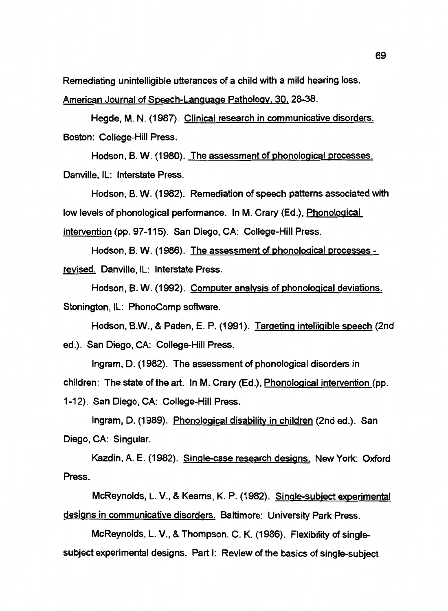Remediating unintelligible utterances of a child with a mild hearing loss.

American Journal of Speech-Language Pathology, 30. 28-38.

Hegde, M. N. (1987). Clinical research in communicative disorders. Boston: College-Hill Press.

Hodson, B. W. (1980). The assessment of phonological processes. Danville, IL: Interstate Press.

Hodson, B. W. (1982). Remediation of speech patterns associated with low levels of phonological performance. In M. Crary (Ed.), Phonological intervention (pp. 97-115). San Diego, CA: College-Hill Press.

Hodson, B. W. (1986). The assessment of phonological processes revised. Danville, IL: Interstate Press.

Hodson, B. W. (1992). Computer analysis of phonological deviations. Stonington, IL: PhonoComp software.

Hodson, B.W., & Paden, E. P. (1991). Targeting intelligible speech (2nd ed.). San Diego, CA: College-Hill Press.

Ingram, D. (1982). The assessment of phonological disorders in children: The state of the art. In M. Crary (Ed.), Phonological intervention (pp. 1-12). San Diego, CA: College-Hill Press.

Ingram, D. (1989). <u>Phonological disability in children</u> (2nd ed.). San Diego, CA: Singular.

Kazdin, A. E. (1982). Single-case research designs. New York: Oxford Press.

McReynolds, L. V., & Kearns, K. P. (1982). Single-subject experimental designs in communicative disorders. Baltimore: University Park Press.

McReynolds, L. V., & Thompson, C. K. (1986). Flexibility of singlesubject experimental designs. Part I: Review of the basics of single-subject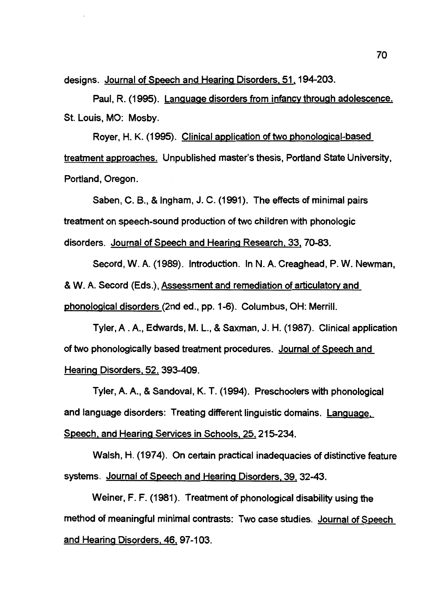designs. Journal of Speech and Hearing Disorders. 51. 194-203.

Paul, R. (1995). Language disorders from infancy through adolescence. St. Louis, MO: Mosby.

Royer, H. K. (1995). Clinical application of two phonological-based treatment approaches. Unpublished master's thesis, Portland State University, Portland, Oregon.

Saben, C. B., & Ingham, J.C. (1991). The effects of minimal pairs treatment on speech-sound production of two children with phonologic disorders. Journal of Speech and Hearing Research. 33. 70-83.

Secord, W. A. (1989). Introduction. In N. A. Creaghead, P. W. Newman, & W. A. Secord (Eds.), Assessment and remediation of articulatory and phonological disorders (2nd ed., pp. 1-6). Columbus, OH: Merrill.

Tyler, A . A., Edwards, M. L., & Saxman, J. H. (1987). Clinical application of two phonologically based treatment procedures. Journal of Speech and Hearing Disorders. 52. 393-409.

Tyler, A. A., & Sandoval, K. T. (1994). Preschoolers with phonological and language disorders: Treating different linguistic domains. Language. Speech. and Hearing Services in Schools. 25. 215-234.

Walsh, H. (1974). On certain practical inadequacies of distinctive feature systems. Journal of Speech and Hearing Disorders. 39. 32-43.

Weiner, F. F. (1981). Treatment of phonological disability using the method of meaningful minimal contrasts: Two case studies. Journal of Speech and Hearing Disorders. 46. 97-103.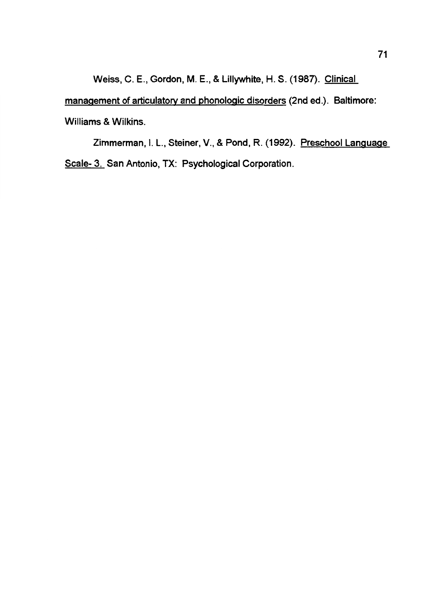Weiss, C. E., Gordon, M. E., & Lillywhite, H. S. (1987). Clinical

management of articulatory and phonologic disorders (2nd ed.). Baltimore:

Williams & Wilkins.

Zimmerman, I. L., Steiner, V., & Pond, R. (1992). Preschool Language Scale- 3. San Antonio, TX: Psychological Corporation.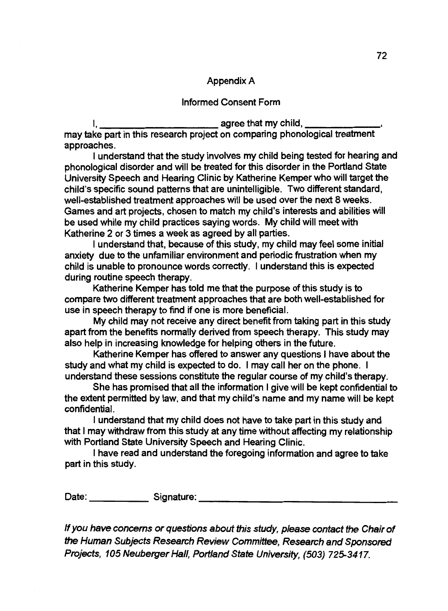## Appendix A

## Informed Consent Form

I, <u>\_\_\_\_\_\_\_\_\_\_\_\_\_\_\_\_\_\_\_\_\_\_\_\_\_\_\_\_\_\_\_\_</u> agree that my child, \_\_\_ may take part in this research project on comparing phonological treatment approaches.

I understand that the study involves my child being tested for hearing and phonological disorder and will be treated for this disorder in the Portland State University Speech and Hearing Clinic by Katherine Kemper who will target the child's specific sound patterns that are unintelligible. Two different standard, well-established treatment approaches will be used over the next 8 weeks. Games and art projects, chosen to match my child's interests and abilities will be used while my child practices saying words. My child will meet with Katherine 2 or 3 times a week as agreed by all parties.

I understand that, because of this study, my child may feel some initial anxiety due to the unfamiliar environment and periodic frustration when my child is unable to pronounce words correctly. I understand this is expected during routine speech therapy.

Katherine Kemper has told me that the purpose of this study is to compare two different treatment approaches that are both well-established for use in speech therapy to find if one is more beneficial.

My child may not receive any direct benefit from taking part in this study apart from the benefits normally derived from speech therapy. This study may also help in increasing knowledge for helping others in the future.

Katherine Kemper has offered to answer any questions I have about the study and what my child is expected to do. I may call her on the phone. I understand these sessions constitute the regular course of my child's therapy.

She has promised that all the information I give will be kept confidential to the extent permitted by law, and that my child's name and my name will be kept confidential.

I understand that my child does not have to take part in this study and that I may withdraw from this study at any time without affecting my relationship with Portland State University Speech and Hearing Clinic.

I have read and understand the foregoing information and agree to take part in this study.

Date: Signature: \_\_\_\_\_\_\_\_\_\_\_\_\_\_\_\_ \_

If you have concerns or questions about this study, please contact *the* Chair of the Human Subjects Research Review Committee, Research and Sponsored Projects, 105 Neuberger Hall, Portland State University, (503) 725-3417.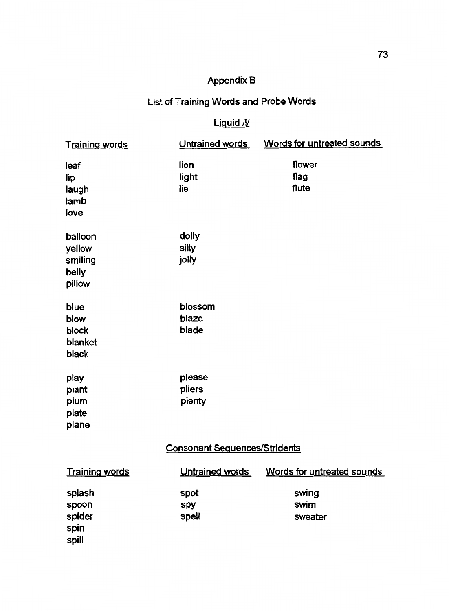# Appendix B

# List of Training Words and Probe Words

# Liquid /I/

| <u>Training words</u>                           | Untrained words            | Words for untreated sounds |  |  |
|-------------------------------------------------|----------------------------|----------------------------|--|--|
| leaf<br>lip<br>laugh<br>lamb<br>love            | lion<br>light<br>lie       | flower<br>flag<br>flute    |  |  |
| balloon<br>yellow<br>smiling<br>belly<br>pillow | dolly<br>silly<br>jolly    |                            |  |  |
| blue<br>blow<br>block<br>blanket<br>black       | blossom<br>blaze<br>blade  |                            |  |  |
| play<br>plant<br>plum<br>plate<br>plane         | please<br>pliers<br>plenty |                            |  |  |
| <b>Consonant Sequences/Stridents</b>            |                            |                            |  |  |
| <b>Training words</b>                           | Untrained words            | Words for untreated sounds |  |  |
| splash<br>spoon<br>spider<br>spin<br>spill      | spot<br>spy<br>spell       | swing<br>swim<br>sweater   |  |  |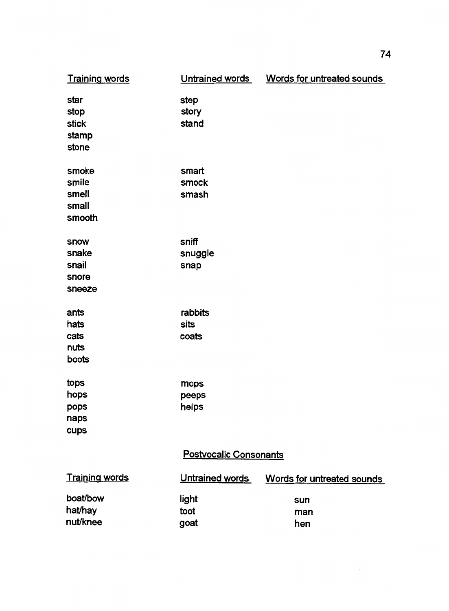| <b>Training words</b>                      | Untrained words          | Words for untreated sounds |  |  |
|--------------------------------------------|--------------------------|----------------------------|--|--|
| star<br>stop<br>stick<br>stamp<br>stone    | step<br>story<br>stand   |                            |  |  |
| smoke<br>smile<br>smell<br>small<br>smooth | smart<br>smock<br>smash  |                            |  |  |
| snow<br>snake<br>snail<br>snore<br>sneeze  | sniff<br>snuggle<br>snap |                            |  |  |
| ants<br>hats<br>cats<br>nuts<br>boots      | rabbits<br>sits<br>coats |                            |  |  |
| tops<br>hops<br>pops<br>naps<br>cups       | mops<br>peeps<br>helps   |                            |  |  |
| <b>Postvocalic Consonants</b>              |                          |                            |  |  |
| <b>Training words</b>                      | Untrained words          | Words for untreated sounds |  |  |
| boat/bow<br>hat/hay<br>nut/knee            | light<br>toot<br>goat    | sun<br>man<br>hen          |  |  |